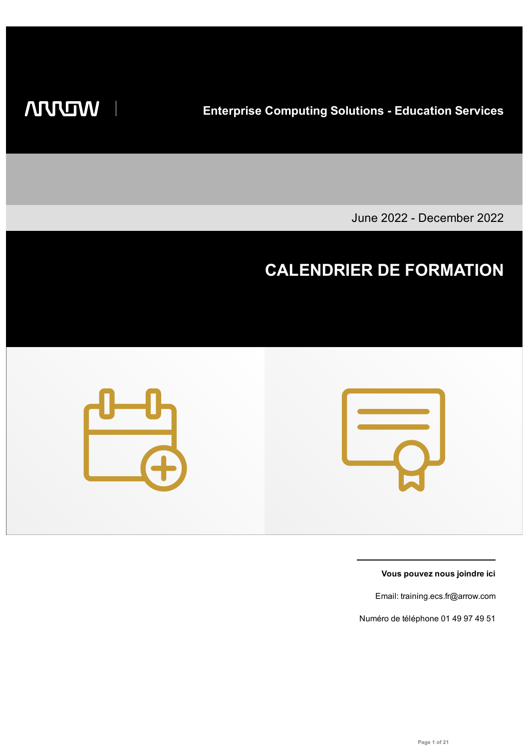**WIDDIN** 

 $\overline{\phantom{a}}$ 

**Enterprise Computing Solutions - Education Services**

June 2022 - December 2022

# **CALENDRIER DE FORMATION**





**Vous pouvez nous joindre ici**

Email: training.ecs.fr@arrow.com

Numéro de téléphone 01 49 97 49 51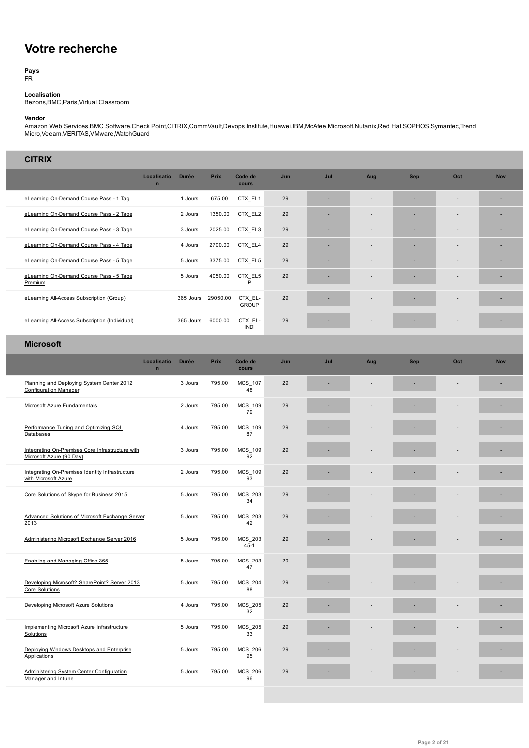# **Votre recherche**

**Pays** FR

**Localisation**

Bezons,BMC,Paris,Virtual Classroom

#### **Vendor**

Amazon Web Services,BMC Software,Check Point,CITRIX,CommVault,Devops Institute,Huawei,IBM,McAfee,Microsoft,Nutanix,Red Hat,SOPHOS,Symantec,Trend Micro,Veeam,VERITAS,VMware,WatchGuard

| <b>CITRIX</b>                                                                |                            |              |          |                            |     |     |                          |            |                          |            |
|------------------------------------------------------------------------------|----------------------------|--------------|----------|----------------------------|-----|-----|--------------------------|------------|--------------------------|------------|
|                                                                              | Localisatio<br>$\mathbf n$ | <b>Durée</b> | Prix     | Code de<br>cours           | Jun | Jul | Aug                      | <b>Sep</b> | Oct                      | <b>Nov</b> |
| eLearning On-Demand Course Pass - 1 Tag                                      |                            | 1 Jours      | 675.00   | CTX EL1                    | 29  | ٠   | $\overline{\phantom{a}}$ | ٠          | $\overline{\phantom{a}}$ | E.         |
| eLearning On-Demand Course Pass - 2 Tage                                     |                            | 2 Jours      | 1350.00  | CTX_EL2                    | 29  | ÷   |                          |            |                          |            |
| eLearning On-Demand Course Pass - 3 Tage                                     |                            | 3 Jours      | 2025.00  | CTX EL3                    | 29  | ٠   |                          | ٠          |                          | E.         |
| eLearning On-Demand Course Pass - 4 Tage                                     |                            | 4 Jours      | 2700.00  | CTX EL4                    | 29  | ٠   |                          |            |                          | ٠          |
| eLearning On-Demand Course Pass - 5 Tage                                     |                            | 5 Jours      | 3375.00  | CTX_EL5                    | 29  |     |                          |            |                          |            |
| eLearning On-Demand Course Pass - 5 Tage<br>Premium                          |                            | 5 Jours      | 4050.00  | CTX EL5<br>P               | 29  |     |                          |            |                          | ٠          |
| eLearning All-Access Subscription (Group)                                    |                            | 365 Jours    | 29050.00 | CTX EL-<br><b>GROUP</b>    | 29  |     |                          |            |                          | ٠          |
| eLearning All-Access Subscription (Individual)                               |                            | 365 Jours    | 6000.00  | CTX EL-<br><b>INDI</b>     | 29  |     |                          |            |                          | E.         |
| <b>Microsoft</b>                                                             |                            |              |          |                            |     |     |                          |            |                          |            |
|                                                                              | Localisatio<br>$\mathbf n$ | <b>Durée</b> | Prix     | Code de<br>cours           | Jun | Jul | Aug                      | <b>Sep</b> | Oct                      | <b>Nov</b> |
| Planning and Deploying System Center 2012<br><b>Configuration Manager</b>    |                            | 3 Jours      | 795.00   | <b>MCS 107</b><br>48       | 29  |     |                          |            |                          |            |
| Microsoft Azure Fundamentals                                                 |                            | 2 Jours      | 795.00   | <b>MCS 109</b><br>79       | 29  |     |                          |            |                          |            |
| Performance Tuning and Optimizing SQL<br>Databases                           |                            | 4 Jours      | 795.00   | MCS_109<br>87              | 29  |     |                          |            |                          |            |
| Integrating On-Premises Core Infrastructure with<br>Microsoft Azure (90 Day) |                            | 3 Jours      | 795.00   | MCS_109<br>92              | 29  |     |                          |            |                          |            |
| Integrating On-Premises Identity Infrastructure<br>with Microsoft Azure      |                            | 2 Jours      | 795.00   | MCS 109<br>93              | 29  |     |                          |            |                          |            |
| Core Solutions of Skype for Business 2015                                    |                            | 5 Jours      | 795.00   | MCS_203<br>34              | 29  |     |                          |            |                          |            |
| Advanced Solutions of Microsoft Exchange Server<br>2013                      |                            | 5 Jours      | 795.00   | MCS_203<br>42              | 29  |     |                          |            |                          |            |
| Administering Microsoft Exchange Server 2016                                 |                            | 5 Jours      | 795.00   | <b>MCS 203</b><br>$45 - 1$ | 29  |     |                          |            |                          | ٠          |
| Enabling and Managing Office 365                                             |                            | 5 Jours      | 795.00   | MCS_203<br>47              | 29  |     |                          |            |                          |            |
| Developing Microsoft? SharePoint? Server 2013<br>Core Solutions              |                            | 5 Jours      | 795.00   | MCS_204<br>88              | 29  |     |                          |            |                          |            |
| Developing Microsoft Azure Solutions                                         |                            | 4 Jours      | 795.00   | <b>MCS 205</b><br>32       | 29  |     |                          |            |                          |            |
| Implementing Microsoft Azure Infrastructure<br>Solutions                     |                            | 5 Jours      | 795.00   | MCS_205<br>33              | 29  |     |                          |            |                          |            |
| Deploying Windows Desktops and Enterprise<br>Applications                    |                            | 5 Jours      | 795.00   | MCS_206<br>95              | 29  |     |                          |            |                          |            |
| Administering System Center Configuration<br>Manager and Intune              |                            | 5 Jours      | 795.00   | MCS_206<br>96              | 29  | ٠   |                          |            |                          | ٠          |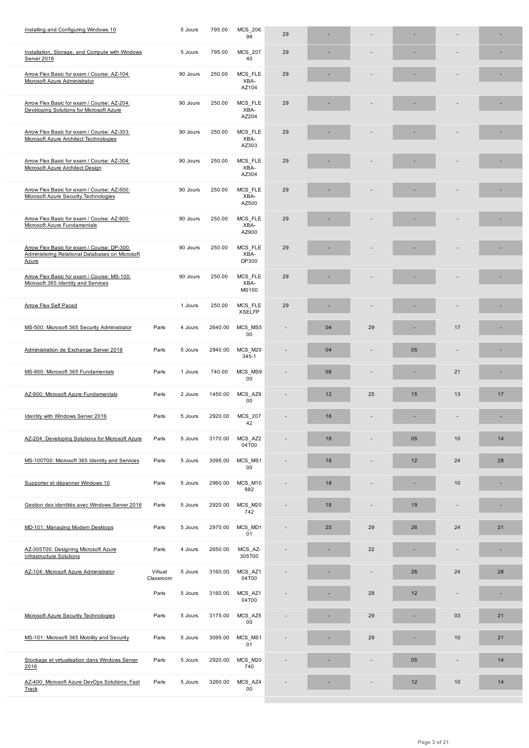| MCS FLE<br>Arrow Flex Basic for exam / Course: AZ-104:<br>90 Jours<br>250.00<br>29<br>Microsoft Azure Administrator<br>XBA-<br>AZ104<br>Arrow Flex Basic for exam / Course: AZ-204:<br>90 Jours<br>250.00<br>MCS FLE<br>29<br>Developing Solutions for Microsoft Azure<br>XBA-<br>AZ204<br>Arrow Flex Basic for exam / Course: AZ-303:<br>250.00<br>MCS_FLE<br>29<br>90 Jours<br>Microsoft Azure Architect Technologies<br>XBA-<br>AZ303<br>MCS_FLE<br>Arrow Flex Basic for exam / Course: AZ-304:<br>250.00<br>29<br>90 Jours<br>XBA-<br>Microsoft Azure Architect Design<br>AZ304<br>Arrow Flex Basic for exam / Course: AZ-500:<br>90 Jours<br>250.00<br>MCS_FLE<br>29<br>Microsoft Azure Security Technologies<br>XBA-<br>AZ500<br>Arrow Flex Basic for exam / Course: AZ-900:<br>250.00<br>MCS_FLE<br>90 Jours<br>29<br>XBA-<br>Microsoft Azure Fundamentals<br>AZ900<br>Arrow Flex Basic for exam / Course: DP-300:<br>MCS_FLE<br>29<br>90 Jours<br>250.00<br>Administering Relational Databases on Microsoft<br>XBA-<br>DP300<br>Azure<br>Arrow Flex Basic for exam / Course: MS-100:<br>90 Jours<br>250.00<br>MCS_FLE<br>29<br>Microsoft 365 Identity and Services<br>XBA-<br><b>MS100</b><br><b>Arrow Flex Self Paced</b><br>250.00<br>MCS_FLE<br>29<br>1 Jours<br><b>XSELFP</b><br>MCS MS5<br>MS-500: Microsoft 365 Security Administrator<br>Paris<br>2640.00<br>29<br>17<br>4 Jours<br>04<br>00<br>Administration de Exchange Server 2016<br>Paris<br>2940.00<br>MCS_M20<br>04<br>5 Jours<br>05<br>345-1<br>MS-900: Microsoft 365 Fundamentals<br>MCS_MS9<br>21<br>Paris<br>1 Jours<br>740.00<br>08<br>00<br>1450.00<br>MCS_AZ9<br>25<br>13<br>AZ-900: Microsoft Azure Fundamentals<br>Paris<br>2 Jours<br>12<br>15<br>17<br>$00\,$<br>Identity with Windows Server 2016<br>2920.00<br>MCS_207<br>18<br>Paris<br>5 Jours<br>٠<br>42<br>3170.00<br>MCS_AZ2<br>10<br>AZ-204: Developing Solutions for Microsoft Azure<br>Paris<br>5 Jours<br>18<br>05<br>14<br>04T00<br>MS-100T00: Microsoft 365 Identity and Services<br>3095.00<br>MCS MS1<br>12<br>24<br>28<br>Paris<br>5 Jours<br>18<br>00<br>Supporter et dépanner Windows 10<br>2960.00<br>MCS_M10<br>18<br>10<br>Paris<br>5 Jours<br>$\overline{\phantom{a}}$<br>982<br>Gestion des identités avec Windows Server 2016<br>2920.00<br>MCS_M20<br>Paris<br>5 Jours<br>18<br>19<br>742<br>MCS_MD1<br>MD-101: Managing Modern Desktops<br>2970.00<br>29<br>26<br>24<br>21<br>Paris<br>5 Jours<br>25<br>01<br>AZ-305T00: Designing Microsoft Azure<br>2650.00<br>MCS_AZ-<br>22<br>Paris<br>4 Jours<br>٠<br><b>Infrastructure Solutions</b><br>305T00<br>MCS_AZ1<br>3160.00<br>26<br>AZ-104: Microsoft Azure Administrator<br>Virtual<br>5 Jours<br>24<br>28<br>04T00<br>Classroom<br>3160.00<br>MCS_AZ1<br>29<br>12<br>Paris<br>5 Jours<br>04T00<br>$MCS_AZ5$<br>Microsoft Azure Security Technologies<br>3175.00<br>03<br>Paris<br>5 Jours<br>29<br>21<br>00<br>MCS_MS1<br>MS-101: Microsoft 365 Mobility and Security<br>3095.00<br>29<br>10<br>21<br>Paris<br>5 Jours<br>01<br>Stockage et virtualisation dans Windows Server<br>2920.00<br>MCS_M20<br>Paris<br>5 Jours<br>05<br>14<br>740<br>2016<br>AZ-400: Microsoft Azure DevOps Solutions: Fast<br>MCS_AZ4<br>10<br>3260.00<br>12<br>14<br>Paris<br>5 Jours<br>00<br>Track | Installation, Storage, and Compute with Windows<br>Server 2016 | 5 Jours | 795.00 | MCS_207<br>40 | 29 |  |  |  |
|------------------------------------------------------------------------------------------------------------------------------------------------------------------------------------------------------------------------------------------------------------------------------------------------------------------------------------------------------------------------------------------------------------------------------------------------------------------------------------------------------------------------------------------------------------------------------------------------------------------------------------------------------------------------------------------------------------------------------------------------------------------------------------------------------------------------------------------------------------------------------------------------------------------------------------------------------------------------------------------------------------------------------------------------------------------------------------------------------------------------------------------------------------------------------------------------------------------------------------------------------------------------------------------------------------------------------------------------------------------------------------------------------------------------------------------------------------------------------------------------------------------------------------------------------------------------------------------------------------------------------------------------------------------------------------------------------------------------------------------------------------------------------------------------------------------------------------------------------------------------------------------------------------------------------------------------------------------------------------------------------------------------------------------------------------------------------------------------------------------------------------------------------------------------------------------------------------------------------------------------------------------------------------------------------------------------------------------------------------------------------------------------------------------------------------------------------------------------------------------------------------------------------------------------------------------------------------------------------------------------------------------------------------------------------------------------------------------------------------------------------------------------------------------------------------------------------------------------------------------------------------------------------------------------------------------------------------------------------------------------------------------------------------------------------------------------------------------------------------------------------------------------------------------------------------------------------------------------------------------------------------------------------------------------|----------------------------------------------------------------|---------|--------|---------------|----|--|--|--|
|                                                                                                                                                                                                                                                                                                                                                                                                                                                                                                                                                                                                                                                                                                                                                                                                                                                                                                                                                                                                                                                                                                                                                                                                                                                                                                                                                                                                                                                                                                                                                                                                                                                                                                                                                                                                                                                                                                                                                                                                                                                                                                                                                                                                                                                                                                                                                                                                                                                                                                                                                                                                                                                                                                                                                                                                                                                                                                                                                                                                                                                                                                                                                                                                                                                                                                |                                                                |         |        |               |    |  |  |  |
|                                                                                                                                                                                                                                                                                                                                                                                                                                                                                                                                                                                                                                                                                                                                                                                                                                                                                                                                                                                                                                                                                                                                                                                                                                                                                                                                                                                                                                                                                                                                                                                                                                                                                                                                                                                                                                                                                                                                                                                                                                                                                                                                                                                                                                                                                                                                                                                                                                                                                                                                                                                                                                                                                                                                                                                                                                                                                                                                                                                                                                                                                                                                                                                                                                                                                                |                                                                |         |        |               |    |  |  |  |
|                                                                                                                                                                                                                                                                                                                                                                                                                                                                                                                                                                                                                                                                                                                                                                                                                                                                                                                                                                                                                                                                                                                                                                                                                                                                                                                                                                                                                                                                                                                                                                                                                                                                                                                                                                                                                                                                                                                                                                                                                                                                                                                                                                                                                                                                                                                                                                                                                                                                                                                                                                                                                                                                                                                                                                                                                                                                                                                                                                                                                                                                                                                                                                                                                                                                                                |                                                                |         |        |               |    |  |  |  |
|                                                                                                                                                                                                                                                                                                                                                                                                                                                                                                                                                                                                                                                                                                                                                                                                                                                                                                                                                                                                                                                                                                                                                                                                                                                                                                                                                                                                                                                                                                                                                                                                                                                                                                                                                                                                                                                                                                                                                                                                                                                                                                                                                                                                                                                                                                                                                                                                                                                                                                                                                                                                                                                                                                                                                                                                                                                                                                                                                                                                                                                                                                                                                                                                                                                                                                |                                                                |         |        |               |    |  |  |  |
|                                                                                                                                                                                                                                                                                                                                                                                                                                                                                                                                                                                                                                                                                                                                                                                                                                                                                                                                                                                                                                                                                                                                                                                                                                                                                                                                                                                                                                                                                                                                                                                                                                                                                                                                                                                                                                                                                                                                                                                                                                                                                                                                                                                                                                                                                                                                                                                                                                                                                                                                                                                                                                                                                                                                                                                                                                                                                                                                                                                                                                                                                                                                                                                                                                                                                                |                                                                |         |        |               |    |  |  |  |
|                                                                                                                                                                                                                                                                                                                                                                                                                                                                                                                                                                                                                                                                                                                                                                                                                                                                                                                                                                                                                                                                                                                                                                                                                                                                                                                                                                                                                                                                                                                                                                                                                                                                                                                                                                                                                                                                                                                                                                                                                                                                                                                                                                                                                                                                                                                                                                                                                                                                                                                                                                                                                                                                                                                                                                                                                                                                                                                                                                                                                                                                                                                                                                                                                                                                                                |                                                                |         |        |               |    |  |  |  |
|                                                                                                                                                                                                                                                                                                                                                                                                                                                                                                                                                                                                                                                                                                                                                                                                                                                                                                                                                                                                                                                                                                                                                                                                                                                                                                                                                                                                                                                                                                                                                                                                                                                                                                                                                                                                                                                                                                                                                                                                                                                                                                                                                                                                                                                                                                                                                                                                                                                                                                                                                                                                                                                                                                                                                                                                                                                                                                                                                                                                                                                                                                                                                                                                                                                                                                |                                                                |         |        |               |    |  |  |  |
|                                                                                                                                                                                                                                                                                                                                                                                                                                                                                                                                                                                                                                                                                                                                                                                                                                                                                                                                                                                                                                                                                                                                                                                                                                                                                                                                                                                                                                                                                                                                                                                                                                                                                                                                                                                                                                                                                                                                                                                                                                                                                                                                                                                                                                                                                                                                                                                                                                                                                                                                                                                                                                                                                                                                                                                                                                                                                                                                                                                                                                                                                                                                                                                                                                                                                                |                                                                |         |        |               |    |  |  |  |
|                                                                                                                                                                                                                                                                                                                                                                                                                                                                                                                                                                                                                                                                                                                                                                                                                                                                                                                                                                                                                                                                                                                                                                                                                                                                                                                                                                                                                                                                                                                                                                                                                                                                                                                                                                                                                                                                                                                                                                                                                                                                                                                                                                                                                                                                                                                                                                                                                                                                                                                                                                                                                                                                                                                                                                                                                                                                                                                                                                                                                                                                                                                                                                                                                                                                                                |                                                                |         |        |               |    |  |  |  |
|                                                                                                                                                                                                                                                                                                                                                                                                                                                                                                                                                                                                                                                                                                                                                                                                                                                                                                                                                                                                                                                                                                                                                                                                                                                                                                                                                                                                                                                                                                                                                                                                                                                                                                                                                                                                                                                                                                                                                                                                                                                                                                                                                                                                                                                                                                                                                                                                                                                                                                                                                                                                                                                                                                                                                                                                                                                                                                                                                                                                                                                                                                                                                                                                                                                                                                |                                                                |         |        |               |    |  |  |  |
|                                                                                                                                                                                                                                                                                                                                                                                                                                                                                                                                                                                                                                                                                                                                                                                                                                                                                                                                                                                                                                                                                                                                                                                                                                                                                                                                                                                                                                                                                                                                                                                                                                                                                                                                                                                                                                                                                                                                                                                                                                                                                                                                                                                                                                                                                                                                                                                                                                                                                                                                                                                                                                                                                                                                                                                                                                                                                                                                                                                                                                                                                                                                                                                                                                                                                                |                                                                |         |        |               |    |  |  |  |
|                                                                                                                                                                                                                                                                                                                                                                                                                                                                                                                                                                                                                                                                                                                                                                                                                                                                                                                                                                                                                                                                                                                                                                                                                                                                                                                                                                                                                                                                                                                                                                                                                                                                                                                                                                                                                                                                                                                                                                                                                                                                                                                                                                                                                                                                                                                                                                                                                                                                                                                                                                                                                                                                                                                                                                                                                                                                                                                                                                                                                                                                                                                                                                                                                                                                                                |                                                                |         |        |               |    |  |  |  |
|                                                                                                                                                                                                                                                                                                                                                                                                                                                                                                                                                                                                                                                                                                                                                                                                                                                                                                                                                                                                                                                                                                                                                                                                                                                                                                                                                                                                                                                                                                                                                                                                                                                                                                                                                                                                                                                                                                                                                                                                                                                                                                                                                                                                                                                                                                                                                                                                                                                                                                                                                                                                                                                                                                                                                                                                                                                                                                                                                                                                                                                                                                                                                                                                                                                                                                |                                                                |         |        |               |    |  |  |  |
|                                                                                                                                                                                                                                                                                                                                                                                                                                                                                                                                                                                                                                                                                                                                                                                                                                                                                                                                                                                                                                                                                                                                                                                                                                                                                                                                                                                                                                                                                                                                                                                                                                                                                                                                                                                                                                                                                                                                                                                                                                                                                                                                                                                                                                                                                                                                                                                                                                                                                                                                                                                                                                                                                                                                                                                                                                                                                                                                                                                                                                                                                                                                                                                                                                                                                                |                                                                |         |        |               |    |  |  |  |
|                                                                                                                                                                                                                                                                                                                                                                                                                                                                                                                                                                                                                                                                                                                                                                                                                                                                                                                                                                                                                                                                                                                                                                                                                                                                                                                                                                                                                                                                                                                                                                                                                                                                                                                                                                                                                                                                                                                                                                                                                                                                                                                                                                                                                                                                                                                                                                                                                                                                                                                                                                                                                                                                                                                                                                                                                                                                                                                                                                                                                                                                                                                                                                                                                                                                                                |                                                                |         |        |               |    |  |  |  |
|                                                                                                                                                                                                                                                                                                                                                                                                                                                                                                                                                                                                                                                                                                                                                                                                                                                                                                                                                                                                                                                                                                                                                                                                                                                                                                                                                                                                                                                                                                                                                                                                                                                                                                                                                                                                                                                                                                                                                                                                                                                                                                                                                                                                                                                                                                                                                                                                                                                                                                                                                                                                                                                                                                                                                                                                                                                                                                                                                                                                                                                                                                                                                                                                                                                                                                |                                                                |         |        |               |    |  |  |  |
|                                                                                                                                                                                                                                                                                                                                                                                                                                                                                                                                                                                                                                                                                                                                                                                                                                                                                                                                                                                                                                                                                                                                                                                                                                                                                                                                                                                                                                                                                                                                                                                                                                                                                                                                                                                                                                                                                                                                                                                                                                                                                                                                                                                                                                                                                                                                                                                                                                                                                                                                                                                                                                                                                                                                                                                                                                                                                                                                                                                                                                                                                                                                                                                                                                                                                                |                                                                |         |        |               |    |  |  |  |
|                                                                                                                                                                                                                                                                                                                                                                                                                                                                                                                                                                                                                                                                                                                                                                                                                                                                                                                                                                                                                                                                                                                                                                                                                                                                                                                                                                                                                                                                                                                                                                                                                                                                                                                                                                                                                                                                                                                                                                                                                                                                                                                                                                                                                                                                                                                                                                                                                                                                                                                                                                                                                                                                                                                                                                                                                                                                                                                                                                                                                                                                                                                                                                                                                                                                                                |                                                                |         |        |               |    |  |  |  |
|                                                                                                                                                                                                                                                                                                                                                                                                                                                                                                                                                                                                                                                                                                                                                                                                                                                                                                                                                                                                                                                                                                                                                                                                                                                                                                                                                                                                                                                                                                                                                                                                                                                                                                                                                                                                                                                                                                                                                                                                                                                                                                                                                                                                                                                                                                                                                                                                                                                                                                                                                                                                                                                                                                                                                                                                                                                                                                                                                                                                                                                                                                                                                                                                                                                                                                |                                                                |         |        |               |    |  |  |  |
|                                                                                                                                                                                                                                                                                                                                                                                                                                                                                                                                                                                                                                                                                                                                                                                                                                                                                                                                                                                                                                                                                                                                                                                                                                                                                                                                                                                                                                                                                                                                                                                                                                                                                                                                                                                                                                                                                                                                                                                                                                                                                                                                                                                                                                                                                                                                                                                                                                                                                                                                                                                                                                                                                                                                                                                                                                                                                                                                                                                                                                                                                                                                                                                                                                                                                                |                                                                |         |        |               |    |  |  |  |
|                                                                                                                                                                                                                                                                                                                                                                                                                                                                                                                                                                                                                                                                                                                                                                                                                                                                                                                                                                                                                                                                                                                                                                                                                                                                                                                                                                                                                                                                                                                                                                                                                                                                                                                                                                                                                                                                                                                                                                                                                                                                                                                                                                                                                                                                                                                                                                                                                                                                                                                                                                                                                                                                                                                                                                                                                                                                                                                                                                                                                                                                                                                                                                                                                                                                                                |                                                                |         |        |               |    |  |  |  |
|                                                                                                                                                                                                                                                                                                                                                                                                                                                                                                                                                                                                                                                                                                                                                                                                                                                                                                                                                                                                                                                                                                                                                                                                                                                                                                                                                                                                                                                                                                                                                                                                                                                                                                                                                                                                                                                                                                                                                                                                                                                                                                                                                                                                                                                                                                                                                                                                                                                                                                                                                                                                                                                                                                                                                                                                                                                                                                                                                                                                                                                                                                                                                                                                                                                                                                |                                                                |         |        |               |    |  |  |  |
|                                                                                                                                                                                                                                                                                                                                                                                                                                                                                                                                                                                                                                                                                                                                                                                                                                                                                                                                                                                                                                                                                                                                                                                                                                                                                                                                                                                                                                                                                                                                                                                                                                                                                                                                                                                                                                                                                                                                                                                                                                                                                                                                                                                                                                                                                                                                                                                                                                                                                                                                                                                                                                                                                                                                                                                                                                                                                                                                                                                                                                                                                                                                                                                                                                                                                                |                                                                |         |        |               |    |  |  |  |
|                                                                                                                                                                                                                                                                                                                                                                                                                                                                                                                                                                                                                                                                                                                                                                                                                                                                                                                                                                                                                                                                                                                                                                                                                                                                                                                                                                                                                                                                                                                                                                                                                                                                                                                                                                                                                                                                                                                                                                                                                                                                                                                                                                                                                                                                                                                                                                                                                                                                                                                                                                                                                                                                                                                                                                                                                                                                                                                                                                                                                                                                                                                                                                                                                                                                                                |                                                                |         |        |               |    |  |  |  |
|                                                                                                                                                                                                                                                                                                                                                                                                                                                                                                                                                                                                                                                                                                                                                                                                                                                                                                                                                                                                                                                                                                                                                                                                                                                                                                                                                                                                                                                                                                                                                                                                                                                                                                                                                                                                                                                                                                                                                                                                                                                                                                                                                                                                                                                                                                                                                                                                                                                                                                                                                                                                                                                                                                                                                                                                                                                                                                                                                                                                                                                                                                                                                                                                                                                                                                |                                                                |         |        |               |    |  |  |  |
|                                                                                                                                                                                                                                                                                                                                                                                                                                                                                                                                                                                                                                                                                                                                                                                                                                                                                                                                                                                                                                                                                                                                                                                                                                                                                                                                                                                                                                                                                                                                                                                                                                                                                                                                                                                                                                                                                                                                                                                                                                                                                                                                                                                                                                                                                                                                                                                                                                                                                                                                                                                                                                                                                                                                                                                                                                                                                                                                                                                                                                                                                                                                                                                                                                                                                                |                                                                |         |        |               |    |  |  |  |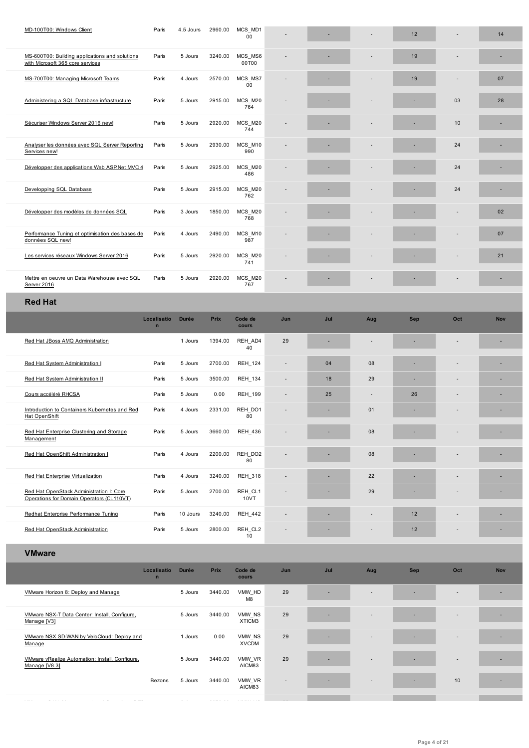| MS-600T00: Building applications and solutions<br>with Microsoft 365 core services | Paris | 5 Jours | 3240.00 | MCS MS6<br>00T00 |  |                          | 19 |                          |    |
|------------------------------------------------------------------------------------|-------|---------|---------|------------------|--|--------------------------|----|--------------------------|----|
| MS-700T00: Managing Microsoft Teams                                                | Paris | 4 Jours | 2570.00 | MCS MS7<br>00    |  | $\overline{\phantom{a}}$ | 19 | $\overline{\phantom{a}}$ | 07 |
| Administering a SQL Database infrastructure                                        | Paris | 5 Jours | 2915.00 | MCS M20<br>764   |  |                          |    | 03                       | 28 |
| Sécuriser Windows Server 2016 new!                                                 | Paris | 5 Jours | 2920.00 | MCS_M20<br>744   |  |                          |    | 10                       |    |
| Analyser les données avec SQL Server Reporting<br>Services new!                    | Paris | 5 Jours | 2930.00 | MCS M10<br>990   |  |                          |    | 24                       |    |
| Développer des applications Web ASP.Net MVC 4                                      | Paris | 5 Jours | 2925.00 | MCS M20<br>486   |  |                          |    | 24                       |    |
| Developping SQL Database                                                           | Paris | 5 Jours | 2915.00 | MCS M20<br>762   |  | $\sim$                   |    | 24                       |    |
| Développer des modèles de données SQL                                              | Paris | 3 Jours | 1850.00 | MCS M20<br>768   |  |                          |    |                          | 02 |
| Performance Tuning et optimisation des bases de<br>données SQL new!                | Paris | 4 Jours | 2490.00 | MCS M10<br>987   |  | ٠                        |    | $\overline{\phantom{a}}$ | 07 |
| Les services réseaux Windows Server 2016                                           | Paris | 5 Jours | 2920.00 | MCS M20<br>741   |  | ٠                        |    |                          | 21 |
| Mettre en oeuvre un Data Warehouse avec SQL<br>Server 2016                         | Paris | 5 Jours | 2920.00 | MCS_M20<br>767   |  |                          |    |                          |    |
|                                                                                    |       |         |         |                  |  |                          |    |                          |    |

## **[Red](�� h t t p s : / / e d u . a r r o w . c o m / f r / t r a i n i n g / c o u r s e - d e t a i l / 4 9 5 9 3 / L e s - s e r v i c e s - r � s e a u x - W i n d o w s - S e r v e r - 2 0 1 6 / F a l s e) Hat**

|                                                                                       | Localisatio<br>$\mathbf n$ | <b>Durée</b> | Prix    | Code de<br><b>cours</b> | Jun                      | Jul | Aug                      | <b>Sep</b> | Oct | <b>Nov</b> |
|---------------------------------------------------------------------------------------|----------------------------|--------------|---------|-------------------------|--------------------------|-----|--------------------------|------------|-----|------------|
| Red Hat JBoss AMQ Administration                                                      |                            | 1 Jours      | 1394.00 | REH AD4<br>40           | 29                       |     |                          |            |     |            |
| Red Hat System Administration I                                                       | Paris                      | 5 Jours      | 2700.00 | <b>REH 124</b>          | $\overline{\phantom{a}}$ | 04  | 08                       |            |     |            |
| Red Hat System Administration II                                                      | Paris                      | 5 Jours      | 3500.00 | <b>REH 134</b>          |                          | 18  | 29                       |            | ٠   | ٠          |
| Cours accéléré RHCSA                                                                  | Paris                      | 5 Jours      | 0.00    | <b>REH 199</b>          | $\overline{\phantom{a}}$ | 25  | $\overline{\phantom{a}}$ | 26         | ٠   |            |
| Introduction to Containers Kubernetes and Red<br>Hat OpenShift                        | Paris                      | 4 Jours      | 2331.00 | REH DO1<br>80           |                          | ٠   | 01                       |            |     |            |
| Red Hat Enterprise Clustering and Storage<br>Management                               | Paris                      | 5 Jours      | 3660.00 | <b>REH 436</b>          |                          |     | 08                       |            |     |            |
| Red Hat OpenShift Administration I                                                    | Paris                      | 4 Jours      | 2200.00 | REH_DO2<br>80           |                          |     | 08                       |            |     |            |
| Red Hat Enterprise Virtualization                                                     | Paris                      | 4 Jours      | 3240.00 | <b>REH 318</b>          | ٠                        | ٠   | 22                       |            |     | ٠          |
| Red Hat OpenStack Administration I: Core<br>Operations for Domain Operators (CL110VT) | Paris                      | 5 Jours      | 2700.00 | REH CL1<br>10VT         |                          | -   | 29                       |            | ٠   |            |
| Redhat Enterprise Performance Tuning                                                  | Paris                      | 10 Jours     | 3240.00 | <b>REH_442</b>          | ٠                        |     |                          | 12         | ٠   |            |
| Red Hat OpenStack Administration                                                      | Paris                      | 5 Jours      | 2800.00 | REH_CL2<br>10           | ٠                        |     | $\overline{\phantom{a}}$ | 12         |     |            |

### **[VMware](https://edu.arrow.com/fr/training/course-detail/7950/Redhat-Enterprise-Performance-Tuning/False)**

|                                                                  | Localisatio<br>$\mathbf n$ | <b>Durée</b> | Prix    | Code de<br>cours         | Jun    | Jul | Aug                      | <b>Sep</b>               | Oct                      | <b>Nov</b> |  |
|------------------------------------------------------------------|----------------------------|--------------|---------|--------------------------|--------|-----|--------------------------|--------------------------|--------------------------|------------|--|
| VMware Horizon 8: Deploy and Manage                              |                            | 5 Jours      | 3440.00 | VMW HD<br>M <sub>8</sub> | 29     | ٠   | $\overline{\phantom{0}}$ | $\overline{\phantom{0}}$ | $\overline{\phantom{a}}$ |            |  |
| VMware NSX-T Data Center: Install, Configure,<br>Manage [V3]     |                            | 5 Jours      | 3440.00 | VMW NS<br>XTICM3         | 29     | -   | $\sim$                   |                          | $\overline{a}$           |            |  |
| VMware NSX SD-WAN by VeloCloud: Deploy and<br>Manage             |                            | 1 Jours      | 0.00    | VMW NS<br><b>XVCDM</b>   | 29     |     | $\sim$                   |                          | $\overline{\phantom{a}}$ |            |  |
| VMware vRealize Automation: Install, Configure,<br>Manage [V8.3] |                            | 5 Jours      | 3440.00 | VMW VR<br>AICM83         | 29     |     | $\sim$                   |                          | $\overline{\phantom{a}}$ |            |  |
|                                                                  | Bezons                     | 5 Jours      | 3440.00 | VMW_VR<br>AICM83         | $\sim$ |     | $\sim$                   | $\overline{\phantom{0}}$ | 10                       |            |  |
|                                                                  |                            |              |         |                          |        |     |                          |                          |                          |            |  |

VMware vSAN: [Management](https://edu.arrow.com/fr/training/course-detail/10225/VMware-vRealize-Automation:-Install,-Configure,-Manage-[V8.3]/False) and Operations [V7] 3 Jours 2070.00 VMW\_VS 29 - - - - -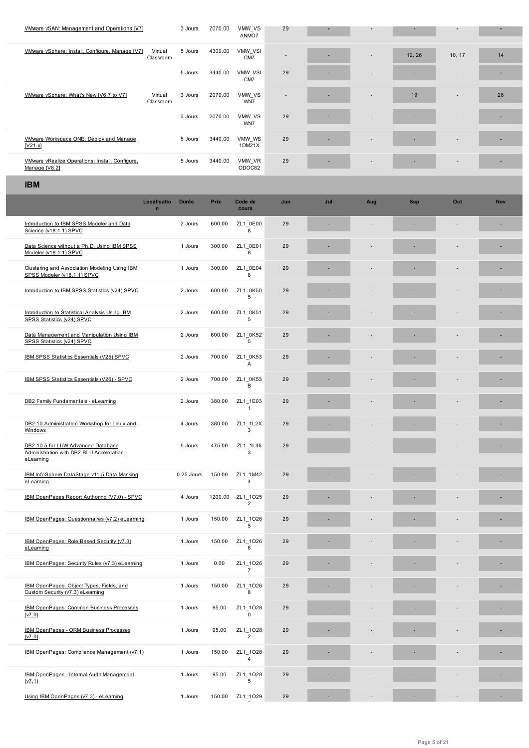| VMware vSphere: Install, Configure, Manage [V7]                                               | Virtual<br>Classroom       | 5 Jours      | 4300.00 | VMW VSI<br>CM7             |     |     |     | 12, 26     | 10, 17                   | 14         |
|-----------------------------------------------------------------------------------------------|----------------------------|--------------|---------|----------------------------|-----|-----|-----|------------|--------------------------|------------|
|                                                                                               |                            | 5 Jours      | 3440.00 | VMW VSI<br>CM7             | 29  |     |     |            |                          |            |
| VMware vSphere: What's New [V6.7 to V7]                                                       | Virtual<br>Classroom       | 3 Jours      | 2070.00 | VMW_VS<br>WN7              |     |     |     | 19         |                          | 28         |
|                                                                                               |                            | 3 Jours      | 2070.00 | VMW VS<br>WN7              | 29  |     |     |            |                          |            |
| VMware Workspace ONE: Deploy and Manage<br>[V21.x]                                            |                            | 5 Jours      | 3440.00 | VMW WS<br>1DM21X           | 29  |     |     |            |                          |            |
| VMware vRealize Operations: Install, Configure,<br>Manage [V8.2]                              |                            | 5 Jours      | 3440.00 | VMW_VR<br>ODOC82           | 29  |     |     |            |                          |            |
| <b>IBM</b>                                                                                    |                            |              |         |                            |     |     |     |            |                          |            |
|                                                                                               | Localisatio<br>$\mathbf n$ | <b>Durée</b> | Prix    | Code de<br>cours           | Jun | Jul | Aug | <b>Sep</b> | Oct                      | <b>Nov</b> |
| Introduction to IBM SPSS Modeler and Data<br>Science (v18.1.1) SPVC                           |                            | 2 Jours      | 600.00  | ZL1_0E00<br>8              | 29  |     |     |            |                          |            |
| Data Science without a Ph.D. Using IBM SPSS<br>Modeler (v18.1.1) SPVC                         |                            | 1 Jours      | 300.00  | ZL1 0E01<br>8              | 29  |     |     |            |                          |            |
| Clustering and Association Modeling Using IBM<br>SPSS Modeler (v18.1.1) SPVC                  |                            | 1 Jours      | 300.00  | ZL1 0E04<br>8              | 29  |     |     |            |                          |            |
| Introduction to IBM SPSS Statistics (v24) SPVC                                                |                            | 2 Jours      | 600.00  | ZL1 0K50<br>5              | 29  |     |     |            |                          |            |
| Introduction to Statistical Analysis Using IBM<br>SPSS Statistics (v24) SPVC                  |                            | 2 Jours      | 600.00  | ZL1 0K51<br>5              | 29  |     |     |            |                          |            |
| Data Management and Manipulation Using IBM<br>SPSS Statistics (v24) SPVC                      |                            | 2 Jours      | 600.00  | ZL1 0K52<br>5              | 29  |     |     |            |                          |            |
| IBM SPSS Statistics Essentials (V25) SPVC                                                     |                            | 2 Jours      | 700.00  | ZL1_0K53<br>Α              | 29  |     |     |            |                          |            |
| IBM SPSS Statistics Essentials (V26) - SPVC                                                   |                            | 2 Jours      | 700.00  | ZL1 0K53<br>в              | 29  |     |     |            |                          |            |
| DB2 Family Fundamentals - eLearning                                                           |                            | 2 Jours      | 380.00  | ZL1_1E03<br>$\mathbf{1}$   | 29  |     |     |            |                          |            |
| DB2 10 Administration Workshop for Linux and<br>Windows                                       |                            | 4 Jours      | 380.00  | ZL1_1L2X<br>3              | 29  |     |     |            |                          |            |
| DB2 10.5 for LUW Advanced Database<br>Administration with DB2 BLU Acceleration -<br>eLearning |                            | 5 Jours      |         | 475.00 ZL1_1L46<br>3       | 29  |     |     |            |                          |            |
| IBM InfoSphere DataStage v11.5 Data Masking<br>eLearning                                      |                            | 0.25 Jours   | 150.00  | ZL1 1M42<br>$\overline{4}$ | 29  |     |     |            |                          |            |
| IBM OpenPages Report Authoring (V7.0) - SPVC                                                  |                            | 4 Jours      | 1200.00 | ZL1_1025<br>$\overline{2}$ | 29  |     |     |            |                          |            |
| IBM OpenPages: Questionnaires (v7.2) eLearning                                                |                            | 1 Jours      | 150.00  | ZL1_1O26<br>5              | 29  |     |     |            |                          |            |
| IBM OpenPages: Role Based Security (v7.3)<br>eLearning                                        |                            | 1 Jours      | 150.00  | ZL1_1O26<br>6              | 29  |     |     |            |                          |            |
| IBM OpenPages: Security Rules (v7.3) eLearning                                                |                            | 1 Jours      | 0.00    | ZL1_1O26<br>$\overline{7}$ | 29  |     |     |            |                          |            |
| IBM OpenPages: Object Types, Fields, and<br>Custom Security (v7.3) eLearning                  |                            | 1 Jours      | 150.00  | ZL1_1O26<br>8              | 29  |     |     |            |                          |            |
| IBM OpenPages: Common Business Processes<br>(v7.0)                                            |                            | 1 Jours      | 95.00   | ZL1_1O28<br>$\mathbf 0$    | 29  |     |     |            |                          |            |
| IBM OpenPages - ORM Business Processes<br>(v7.0)                                              |                            | 1 Jours      | 95.00   | ZL1_1O28<br>$\overline{2}$ | 29  |     |     |            |                          |            |
| IBM OpenPages: Compliance Management (v7.1)                                                   |                            | 1 Jours      | 150.00  | ZL1_1O28<br>$\overline{4}$ | 29  |     |     |            |                          |            |
| IBM OpenPages - Internal Audit Management<br>(v7.1)                                           |                            | 1 Jours      | 95.00   | ZL1_1O28<br>5              | 29  |     |     |            |                          |            |
| Using IBM OpenPages (v7.3) - eLearning                                                        |                            | 1 Jours      | 150.00  | ZL1_1O29                   | 29  | ٠   | ÷   | ٠          | $\overline{\phantom{a}}$ | ×          |

г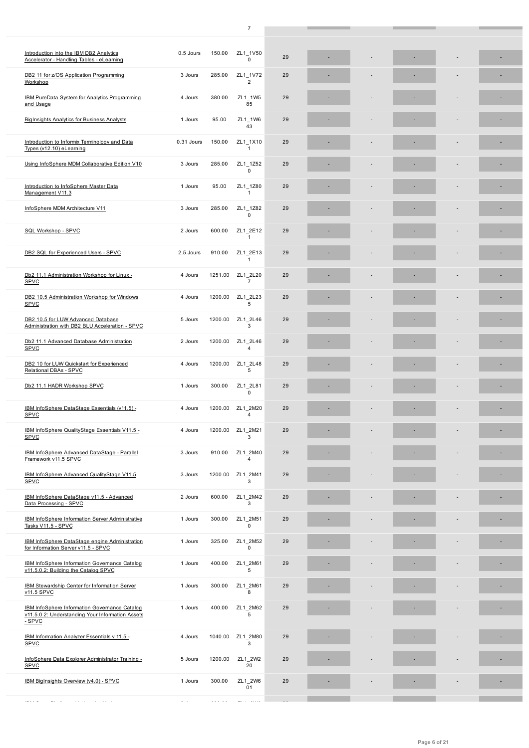| Introduction into the IBM DB2 Analytics<br>Accelerator - Handling Tables - eLearning                         | 0.5 Jours  | 150.00  | ZL1_1V50<br>$\Omega$       | 29 |  |  |  |
|--------------------------------------------------------------------------------------------------------------|------------|---------|----------------------------|----|--|--|--|
| DB2 11 for z/OS Application Programming<br>Workshop                                                          | 3 Jours    | 285.00  | ZL1_1V72<br>$\overline{2}$ | 29 |  |  |  |
| <b>IBM PureData System for Analytics Programming</b><br>and Usage                                            | 4 Jours    | 380.00  | ZL1 1W5<br>85              | 29 |  |  |  |
| <b>BigInsights Analytics for Business Analysts</b>                                                           | 1 Jours    | 95.00   | ZL1 1W6<br>43              | 29 |  |  |  |
| Introduction to Informix Terminology and Data<br>Types (v12.10) eLearning                                    | 0.31 Jours | 150.00  | ZL1 1X10<br>1              | 29 |  |  |  |
| Using InfoSphere MDM Collaborative Edition V10                                                               | 3 Jours    | 285.00  | ZL1 1Z52<br>$\Omega$       | 29 |  |  |  |
| Introduction to InfoSphere Master Data<br>Management V11.3                                                   | 1 Jours    | 95.00   | ZL1_1Z80<br>1              | 29 |  |  |  |
| InfoSphere MDM Architecture V11                                                                              | 3 Jours    | 285.00  | ZL1_1Z82<br>$\mathbf 0$    | 29 |  |  |  |
| SQL Workshop - SPVC                                                                                          | 2 Jours    | 600.00  | ZL1 2E12<br>$\mathbf{1}$   | 29 |  |  |  |
| DB2 SQL for Experienced Users - SPVC                                                                         | 2.5 Jours  | 910.00  | ZL1_2E13<br>$\mathbf{1}$   | 29 |  |  |  |
| Db2 11.1 Administration Workshop for Linux -<br><b>SPVC</b>                                                  | 4 Jours    | 1251.00 | ZL1 2L20<br>$\overline{7}$ | 29 |  |  |  |
| DB2 10.5 Administration Workshop for Windows<br>SPVC                                                         | 4 Jours    | 1200.00 | ZL1 2L23<br>5              | 29 |  |  |  |
| DB2 10.5 for LUW Advanced Database<br>Administration with DB2 BLU Acceleration - SPVC                        | 5 Jours    | 1200.00 | ZL1_2L46<br>3              | 29 |  |  |  |
| Db2 11.1 Advanced Database Administration<br><b>SPVC</b>                                                     | 2 Jours    | 1200.00 | ZL1_2L46<br>$\overline{4}$ | 29 |  |  |  |
| DB2 10 for LUW Quickstart for Experienced<br>Relational DBAs - SPVC                                          | 4 Jours    | 1200.00 | ZL1_2L48<br>5              | 29 |  |  |  |
| Db2 11.1 HADR Workshop SPVC                                                                                  | 1 Jours    | 300.00  | ZL1_2L81<br>0              | 29 |  |  |  |
|                                                                                                              |            |         |                            |    |  |  |  |
| IBM InfoSphere DataStage Essentials (v11.5) -<br><b>SPVC</b>                                                 | 4 Jours    | 1200.00 | ZL1 2M20<br>$\overline{4}$ | 29 |  |  |  |
| IBM InfoSphere QualityStage Essentials V11.5 -<br><b>SPVC</b>                                                | 4 Jours    | 1200.00 | ZL1 2M21<br>3              | 29 |  |  |  |
| IBM InfoSphere Advanced DataStage - Parallel<br>Framework v11.5 SPVC                                         | 3 Jours    | 910.00  | ZL1_2M40<br>4              | 29 |  |  |  |
| IBM InfoSphere Advanced QualityStage V11.5<br><b>SPVC</b>                                                    | 3 Jours    | 1200.00 | ZL1 2M41<br>3              | 29 |  |  |  |
| IBM InfoSphere DataStage v11.5 - Advanced<br>Data Processing - SPVC                                          | 2 Jours    | 600.00  | ZL1 2M42<br>3              | 29 |  |  |  |
| IBM InfoSphere Information Server Administrative<br>Tasks V11.5 - SPVC                                       | 1 Jours    | 300.00  | ZL1_2M51<br>$\mathbf 0$    | 29 |  |  |  |
| IBM InfoSphere DataStage engine Administration<br>for Information Server v11.5 - SPVC                        | 1 Jours    | 325.00  | ZL1 2M52<br>$\pmb{0}$      | 29 |  |  |  |
| <b>IBM InfoSphere Information Governance Catalog</b><br>v11.5.0.2: Building the Catalog SPVC                 | 1 Jours    | 400.00  | ZL1 2M61<br>5              | 29 |  |  |  |
| <b>IBM Stewardship Center for Information Server</b><br>v11.5 SPVC                                           | 1 Jours    | 300.00  | ZL1 2M61<br>8              | 29 |  |  |  |
| IBM InfoSphere Information Governance Catalog<br>v11.5.0.2: Understanding Your Information Assets<br>$-SPVC$ | 1 Jours    | 400.00  | ZL1 2M62<br>5              | 29 |  |  |  |
| IBM Information Analyzer Essentials v 11.5 -<br><b>SPVC</b>                                                  | 4 Jours    | 1040.00 | ZL1_2M80<br>3              | 29 |  |  |  |
| InfoSphere Data Explorer Administrator Training -<br><b>SPVC</b>                                             | 5 Jours    | 1200.00 | ZL1_2W2<br>20              | 29 |  |  |  |
| IBM BigInsights Overview (v4.0) - SPVC                                                                       | 1 Jours    | 300.00  | ZL1_2W6<br>01              | 29 |  |  |  |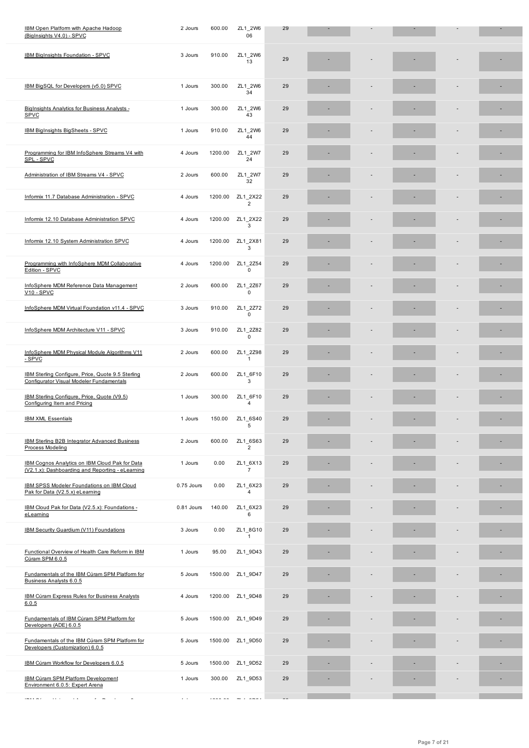| <b>IBM BigInsights Foundation - SPVC</b>                                                                         | 3 Jours    | 910.00  | ZL1 2W6<br>13              | 29 |  |  |  |
|------------------------------------------------------------------------------------------------------------------|------------|---------|----------------------------|----|--|--|--|
| IBM BigSQL for Developers (v5.0) SPVC                                                                            | 1 Jours    | 300.00  | ZL1 2W6<br>34              | 29 |  |  |  |
| BigInsights Analytics for Business Analysts -<br>SPVC                                                            | 1 Jours    | 300.00  | ZL1 2W6<br>43              | 29 |  |  |  |
| IBM BigInsights BigSheets - SPVC                                                                                 | 1 Jours    | 910.00  | ZL1 2W6<br>44              | 29 |  |  |  |
| Programming for IBM InfoSphere Streams V4 with<br>SPL - SPVC                                                     | 4 Jours    | 1200.00 | ZL1 2W7<br>24              | 29 |  |  |  |
| Administration of IBM Streams V4 - SPVC                                                                          | 2 Jours    | 600.00  | ZL1 2W7<br>32              | 29 |  |  |  |
| Informix 11.7 Database Administration - SPVC                                                                     | 4 Jours    | 1200.00 | ZL1 2X22<br>$\overline{2}$ | 29 |  |  |  |
| Informix 12.10 Database Administration SPVC                                                                      | 4 Jours    | 1200.00 | ZL1 2X22<br>3              | 29 |  |  |  |
| Informix 12.10 System Administration SPVC                                                                        | 4 Jours    | 1200.00 | ZL1_2X81<br>3              | 29 |  |  |  |
| Programming with InfoSphere MDM Collaborative<br>Edition - SPVC                                                  | 4 Jours    | 1200.00 | ZL1 2Z54<br>$\mathbf 0$    | 29 |  |  |  |
| InfoSphere MDM Reference Data Management<br>V10 - SPVC                                                           | 2 Jours    | 600.00  | ZL1 2Z67<br>$\Omega$       | 29 |  |  |  |
| InfoSphere MDM Virtual Foundation v11.4 - SPVC                                                                   | 3 Jours    | 910.00  | ZL1 2Z72<br>0              | 29 |  |  |  |
| InfoSphere MDM Architecture V11 - SPVC                                                                           | 3 Jours    | 910.00  | ZL1 2Z82<br>$\mathbf 0$    | 29 |  |  |  |
| InfoSphere MDM Physical Module Algorithms V11<br>- SPVC                                                          | 2 Jours    | 600.00  | ZL1 2Z98<br>$\mathbf{1}$   | 29 |  |  |  |
| IBM Sterling Configure, Price, Quote 9.5 Sterling<br>Configurator Visual Modeler Fundamentals                    | 2 Jours    | 600.00  | ZL1 6F10<br>3              | 29 |  |  |  |
| IBM Sterling Configure, Price, Quote (V9.5)<br>Configuring Item and Pricing                                      | 1 Jours    | 300.00  | ZL1 6F10<br>$\overline{4}$ | 29 |  |  |  |
| <b>IBM XML Essentials</b>                                                                                        | 1 Jours    | 150.00  | ZL1 6S40<br>5              | 29 |  |  |  |
| IBM Sterling B2B Integrator Advanced Business<br><b>Process Modeling</b>                                         | 2 Jours    | 600.00  | ZL1_6S63<br>$\overline{2}$ | 29 |  |  |  |
| IBM Cognos Analytics on IBM Cloud Pak for Data<br>(V2.1.x): Dashboarding and Reporting - eLearning               | 1 Jours    | 0.00    | ZL1_6X13<br>$\overline{7}$ | 29 |  |  |  |
| <b>IBM SPSS Modeler Foundations on IBM Cloud</b><br>Pak for Data (V2.5.x) eLearning                              | 0.75 Jours | 0.00    | ZL1 6X23<br>$\overline{4}$ | 29 |  |  |  |
| IBM Cloud Pak for Data (V2.5.x): Foundations -<br>eLearning                                                      | 0.81 Jours | 140.00  | ZL1 6X23<br>6              | 29 |  |  |  |
| IBM Security Guardium (V11) Foundations                                                                          | 3 Jours    | 0.00    | ZL1_8G10<br>$\mathbf{1}$   | 29 |  |  |  |
| Functional Overview of Health Care Reform in IBM<br>Cúram SPM 6.0.5                                              | 1 Jours    | 95.00   | ZL1_9D43                   | 29 |  |  |  |
| Fundamentals of the IBM Cúram SPM Platform for<br>Business Analysts 6.0.5                                        | 5 Jours    | 1500.00 | ZL1_9D47                   | 29 |  |  |  |
| <b>IBM Cúram Express Rules for Business Analysts</b><br>6.0.5                                                    | 4 Jours    | 1200.00 | ZL1_9D48                   | 29 |  |  |  |
| Fundamentals of IBM Cúram SPM Platform for<br>Developers (ADE) 6.0.5                                             | 5 Jours    | 1500.00 | ZL1_9D49                   | 29 |  |  |  |
| Fundamentals of the IBM Cúram SPM Platform for<br>Developers (Customization) 6.0.5                               | 5 Jours    | 1500.00 | ZL1_9D50                   | 29 |  |  |  |
| IBM Cúram Workflow for Developers 6.0.5                                                                          | 5 Jours    | 1500.00 | ZL1_9D52                   | 29 |  |  |  |
| <b>IBM Cúram SPM Platform Development</b><br>Environment 6.0.5: Expert Arena                                     | 1 Jours    | 300.00  | ZL1_9D53                   | 29 |  |  |  |
| $\label{eq:1.1} \begin{array}{cccccccccc} \cdots & \cdots & \cdots & \cdots & \cdots \end{array}$<br>$\sim$ $ -$ |            |         |                            |    |  |  |  |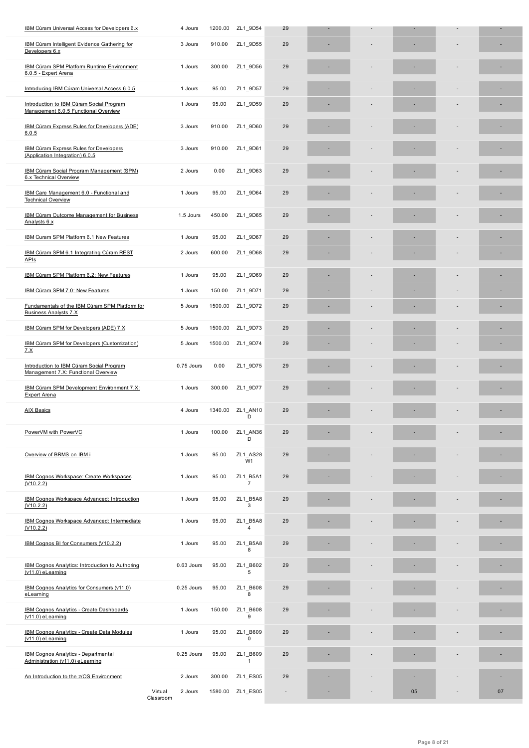| in Antiquit intelligent Exidence Additionally in<br>Developers 6.x               |                      | o oouis    | ອາບ.ບບ  | <u>_____</u>               |                |  |    |    |
|----------------------------------------------------------------------------------|----------------------|------------|---------|----------------------------|----------------|--|----|----|
| IBM Cúram SPM Platform Runtime Environment<br>6.0.5 - Expert Arena               |                      | 1 Jours    | 300.00  | ZL1_9D56                   | 29             |  |    |    |
| Introducing IBM Cúram Universal Access 6.0.5                                     |                      | 1 Jours    | 95.00   | ZL1_9D57                   | 29             |  |    |    |
| Introduction to IBM Cúram Social Program<br>Management 6.0.5 Functional Overview |                      | 1 Jours    | 95.00   | ZL1_9D59                   | 29             |  |    |    |
| IBM Cúram Express Rules for Developers (ADE)<br>6.0.5                            |                      | 3 Jours    | 910.00  | ZL1 9D60                   | 29             |  |    |    |
| <b>IBM Cúram Express Rules for Developers</b><br>(Application Integration) 6.0.5 |                      | 3 Jours    | 910.00  | ZL1_9D61                   | 29             |  |    |    |
| IBM Cúram Social Program Management (SPM)<br>6.x Technical Overview              |                      | 2 Jours    | 0.00    | ZL1_9D63                   | 29             |  |    |    |
| IBM Care Management 6.0 - Functional and<br><b>Technical Overview</b>            |                      | 1 Jours    | 95.00   | ZL1_9D64                   | 29             |  |    |    |
| <b>IBM Cúram Outcome Management for Business</b><br>Analysts 6.x                 |                      | 1.5 Jours  | 450.00  | ZL1_9D65                   | 29             |  |    |    |
| IBM Curam SPM Platform 6.1 New Features                                          |                      | 1 Jours    | 95.00   | ZL1_9D67                   | 29             |  |    |    |
| IBM Cúram SPM 6.1 Integrating Cúram REST<br>APIs                                 |                      | 2 Jours    | 600.00  | ZL1_9D68                   | 29             |  |    |    |
| IBM Cúram SPM Platform 6.2: New Features                                         |                      | 1 Jours    | 95.00   | ZL1_9D69                   | 29             |  |    |    |
| IBM Cúram SPM 7.0: New Features                                                  |                      | 1 Jours    | 150.00  | ZL1 9D71                   | 29             |  | ٠  | ٠  |
| Fundamentals of the IBM Cúram SPM Platform for<br><b>Business Analysts 7.X</b>   |                      | 5 Jours    | 1500.00 | ZL1_9D72                   | 29             |  |    |    |
| IBM Cúram SPM for Developers (ADE) 7.X                                           |                      | 5 Jours    | 1500.00 | ZL1 9D73                   | 29             |  |    |    |
| IBM Cúram SPM for Developers (Customization)<br><u>7.X</u>                       |                      | 5 Jours    | 1500.00 | ZL1_9D74                   | 29             |  |    |    |
| Introduction to IBM Cúram Social Program<br>Management 7.X: Functional Overview  |                      | 0.75 Jours | 0.00    | ZL1_9D75                   | 29             |  |    |    |
| IBM Cúram SPM Development Environment 7.X:<br><b>Expert Arena</b>                |                      | 1 Jours    | 300.00  | ZL1 9D77                   | 29             |  |    |    |
| <b>AIX Basics</b>                                                                |                      | 4 Jours    | 1340.00 | ZL1 AN10<br>D              | 29             |  |    |    |
| PowerVM with PowerVC                                                             |                      | 1 Jours    | 100.00  | ZL1 AN36<br>D              | 29             |  |    |    |
| Overview of BRMS on IBM i                                                        |                      | 1 Jours    | 95.00   | ZL1_AS28<br>W1             | 29             |  |    |    |
| IBM Cognos Workspace: Create Workspaces<br>(V10.2.2)                             |                      | 1 Jours    | 95.00   | ZL1_B5A1<br>$\overline{7}$ | 29             |  |    |    |
| IBM Cognos Workspace Advanced: Introduction<br>(V10.2.2)                         |                      | 1 Jours    | 95.00   | ZL1 B5A8<br>3              | 29             |  |    |    |
| <b>IBM Cognos Workspace Advanced: Intermediate</b><br>(V10.2.2)                  |                      | 1 Jours    | 95.00   | ZL1 B5A8<br>$\overline{4}$ | 29             |  |    |    |
| IBM Cognos BI for Consumers (V10.2.2)                                            |                      | 1 Jours    | 95.00   | ZL1_B5A8<br>8              | 29             |  |    |    |
| IBM Cognos Analytics: Introduction to Authoring<br>$(v11.0)$ eLearning           |                      | 0.63 Jours | 95.00   | ZL1_B602<br>5              | 29             |  |    |    |
| IBM Cognos Analytics for Consumers (v11.0)<br>eLearning                          |                      | 0.25 Jours | 95.00   | ZL1_B608<br>8              | 29             |  |    |    |
| <b>IBM Cognos Analytics - Create Dashboards</b><br>$(v11.0)$ eLearning           |                      | 1 Jours    | 150.00  | ZL1_B608<br>9              | 29             |  |    |    |
| <b>IBM Cognos Analytics - Create Data Modules</b><br>$(v11.0)$ eLearning         |                      | 1 Jours    | 95.00   | ZL1 B609<br>$\overline{0}$ | 29             |  |    |    |
| <b>IBM Cognos Analytics - Departmental</b><br>Administration (v11.0) eLearning   |                      | 0.25 Jours | 95.00   | ZL1 B609<br>$\mathbf{1}$   | 29             |  |    |    |
| An Introduction to the z/OS Environment                                          |                      | 2 Jours    | 300.00  | ZL1_ES05                   | 29             |  |    |    |
|                                                                                  | Virtual<br>Classroom | 2 Jours    | 1580.00 | ZL1_ES05                   | $\blacksquare$ |  | 05 | 07 |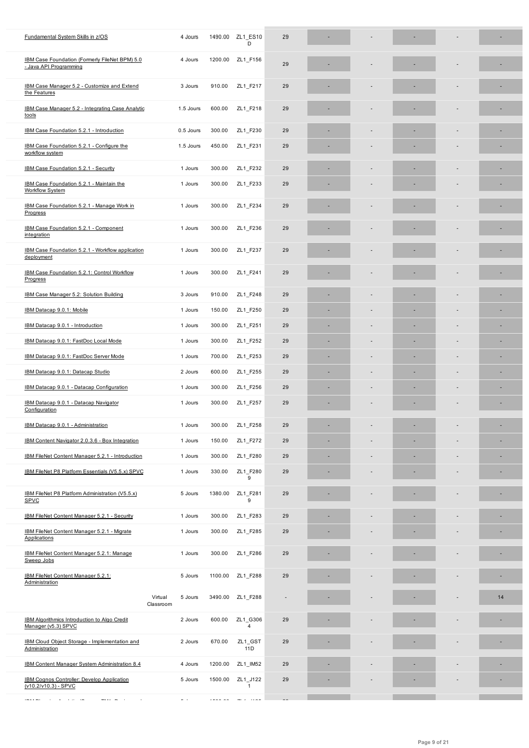| IBM Case Foundation (Formerly FileNet BPM) 5.0<br>- Java API Programming | 4 Jours                         |         | 1200.00 ZL1 F156           | 29 |   |   |    |    |
|--------------------------------------------------------------------------|---------------------------------|---------|----------------------------|----|---|---|----|----|
| IBM Case Manager 5.2 - Customize and Extend<br>the Features              | 3 Jours                         | 910.00  | ZL1 F217                   | 29 |   |   |    |    |
| IBM Case Manager 5.2 - Integrating Case Analytic<br>tools                | 1.5 Jours                       | 600.00  | ZL1 F218                   | 29 |   |   |    |    |
| IBM Case Foundation 5.2.1 - Introduction                                 | 0.5 Jours                       | 300.00  | ZL1 F230                   | 29 |   |   |    |    |
| IBM Case Foundation 5.2.1 - Configure the<br>workflow system             | 1.5 Jours                       | 450.00  | ZL1 F231                   | 29 |   |   |    |    |
| IBM Case Foundation 5.2.1 - Security                                     | 1 Jours                         | 300.00  | ZL1 F232                   | 29 |   |   |    |    |
| IBM Case Foundation 5.2.1 - Maintain the<br><b>Workflow System</b>       | 1 Jours                         | 300.00  | ZL1_F233                   | 29 |   |   |    |    |
| IBM Case Foundation 5.2.1 - Manage Work in<br>Progress                   | 1 Jours                         | 300.00  | ZL1_F234                   | 29 |   |   |    |    |
| IBM Case Foundation 5.2.1 - Component<br>integration                     | 1 Jours                         | 300.00  | ZL1 F236                   | 29 |   |   |    |    |
| IBM Case Foundation 5.2.1 - Workflow application<br>deployment           | 1 Jours                         | 300.00  | ZL1 F237                   | 29 |   |   |    |    |
| IBM Case Foundation 5.2.1: Control Workflow<br>Progress                  | 1 Jours                         | 300.00  | ZL1 F241                   | 29 |   |   |    |    |
| IBM Case Manager 5.2: Solution Building                                  | 3 Jours                         | 910.00  | ZL1 F248                   | 29 |   |   |    |    |
| IBM Datacap 9.0.1: Mobile                                                | 1 Jours                         | 150.00  | ZL1_F250                   | 29 | ٠ |   | ٠  | ٠  |
| IBM Datacap 9.0.1 - Introduction                                         | 1 Jours                         | 300.00  | ZL1_F251                   | 29 | ٠ |   | ÷  | ×  |
| IBM Datacap 9.0.1: FastDoc Local Mode                                    | 1 Jours                         | 300.00  | ZL1_F252                   | 29 | ٠ |   | ×, | ×, |
| IBM Datacap 9.0.1: FastDoc Server Mode                                   | 1 Jours                         | 700.00  | ZL1_F253                   | 29 | ٠ | ٠ | ٠  | ×, |
| IBM Datacap 9.0.1: Datacap Studio                                        | 2 Jours                         | 600.00  | ZL1_F255                   | 29 |   |   |    |    |
| IBM Datacap 9.0.1 - Datacap Configuration                                | 1 Jours                         | 300.00  | ZL1_F256                   | 29 |   |   | ٠  | ٠  |
| IBM Datacap 9.0.1 - Datacap Navigator<br>Configuration                   | 1 Jours                         | 300.00  | ZL1_F257                   | 29 |   |   |    | ×  |
| IBM Datacap 9.0.1 - Administration                                       | 1 Jours                         | 300.00  | ZL1_F258                   | 29 |   |   | ×, | ×, |
| IBM Content Navigator 2.0.3.6 - Box Integration                          | 1 Jours                         | 150.00  | ZL1 F272                   | 29 |   |   | ٠  | ٠  |
| IBM FileNet Content Manager 5.2.1 - Introduction                         | 1 Jours                         | 300.00  | ZL1 F280                   | 29 |   |   |    |    |
| IBM FileNet P8 Platform Essentials (V5.5.x) SPVC                         | 1 Jours                         | 330.00  | ZL1 F280<br>9              | 29 |   |   |    |    |
| IBM FileNet P8 Platform Administration (V5.5.x)<br><b>SPVC</b>           | 5 Jours                         | 1380.00 | ZL1 F281<br>9              | 29 |   |   |    |    |
| <b>IBM FileNet Content Manager 5.2.1 - Security</b>                      | 1 Jours                         | 300.00  | ZL1 F283                   | 29 |   |   |    |    |
| IBM FileNet Content Manager 5.2.1 - Migrate<br><b>Applications</b>       | 1 Jours                         | 300.00  | ZL1_F285                   | 29 |   |   |    |    |
| IBM FileNet Content Manager 5.2.1: Manage<br>Sweep Jobs                  | 1 Jours                         | 300.00  | ZL1_F286                   | 29 |   |   |    |    |
| IBM FileNet Content Manager 5.2.1:<br>Administration                     | 5 Jours                         | 1100.00 | ZL1_F288                   | 29 |   |   |    |    |
|                                                                          | Virtual<br>5 Jours<br>Classroom | 3490.00 | ZL1 F288                   |    |   |   |    | 14 |
| IBM Algorithmics Introduction to Algo Credit<br>Manager (v5.3) SPVC      | 2 Jours                         | 600.00  | ZL1 G306<br>$\overline{4}$ | 29 |   |   |    |    |
| <b>IBM Cloud Object Storage - Implementation and</b><br>Administration   | 2 Jours                         | 670.00  | ZL1_GST<br>11D             | 29 |   |   |    |    |
| IBM Content Manager System Administration 8.4                            | 4 Jours                         | 1200.00 | ZL1_IM52                   | 29 |   |   |    |    |
| IBM Cognos Controller: Develop Application<br>(v10.2/v10.3) - SPVC       | 5 Jours                         | 1500.00 | ZL1_J122<br>$\mathbf{1}$   | 29 |   |   |    |    |
| $\sim$ $\sim$                                                            |                                 |         |                            |    |   |   |    |    |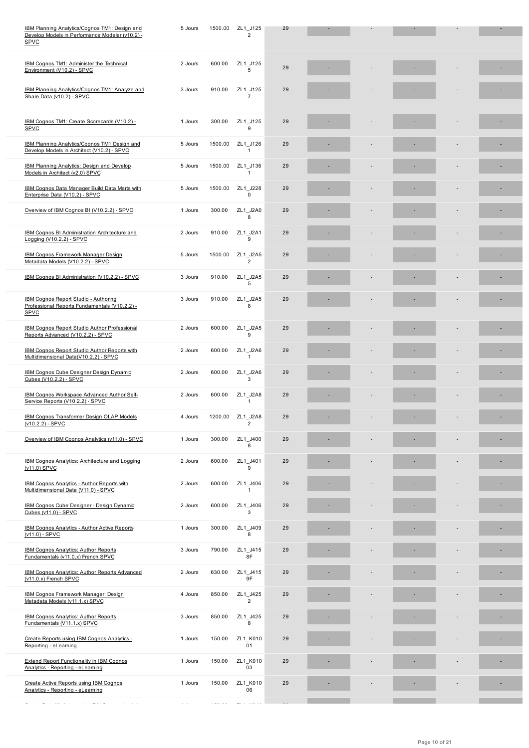| IBM Cognos TM1: Administer the Technical<br>Environment (V10.2) - SPVC                               | 2 Jours | 600.00  | ZL1 J125<br>5              | 29 |  |  |   |
|------------------------------------------------------------------------------------------------------|---------|---------|----------------------------|----|--|--|---|
| IBM Planning Analytics/Cognos TM1: Analyze and<br>Share Data (v10.2) - SPVC                          | 3 Jours | 910.00  | ZL1 J125<br>$\overline{7}$ | 29 |  |  |   |
| IBM Cognos TM1: Create Scorecards (V10.2) -<br><b>SPVC</b>                                           | 1 Jours | 300.00  | ZL1_J125<br>9              | 29 |  |  |   |
| IBM Planning Analytics/Cognos TM1 Design and<br>Develop Models in Architect (V10.2) - SPVC           | 5 Jours | 1500.00 | ZL1_J126<br>1              | 29 |  |  |   |
| <b>IBM Planning Analytics: Design and Develop</b><br>Models in Architect (v2.0) SPVC                 | 5 Jours | 1500.00 | ZL1_J136<br>$\mathbf{1}$   | 29 |  |  |   |
| <b>IBM Cognos Data Manager Build Data Marts with</b><br>Enterprise Data (V10.2) - SPVC               | 5 Jours | 1500.00 | ZL1 J228<br>0              | 29 |  |  | ٠ |
| Overview of IBM Cognos BI (V10.2.2) - SPVC                                                           | 1 Jours | 300.00  | ZL1_J2A0<br>8              | 29 |  |  |   |
| IBM Cognos BI Administration Architecture and<br>Logging (V10.2.2) - SPVC                            | 2 Jours | 910.00  | ZL1 J2A1<br>9              | 29 |  |  |   |
| IBM Cognos Framework Manager Design<br>Metadata Models (V10.2.2) - SPVC                              | 5 Jours | 1500.00 | ZL1_J2A5<br>$\overline{2}$ | 29 |  |  |   |
| IBM Cognos BI Administration (V10.2.2) - SPVC                                                        | 3 Jours | 910.00  | ZL1_J2A5<br>5              | 29 |  |  |   |
| IBM Cognos Report Studio - Authoring<br>Professional Reports Fundamentals (V10.2.2) -<br><b>SPVC</b> | 3 Jours | 910.00  | ZL1 J2A5<br>8              | 29 |  |  |   |
| <b>IBM Cognos Report Studio Author Professional</b><br>Reports Advanced (V10.2.2) - SPVC             | 2 Jours | 600.00  | ZL1_J2A5<br>9              | 29 |  |  |   |
| IBM Cognos Report Studio Author Reports with<br>Multidimensional Data(V10.2.2) - SPVC                | 2 Jours | 600.00  | ZL1_J2A6<br>1              | 29 |  |  |   |
| <b>IBM Cognos Cube Designer Design Dynamic</b><br>Cubes (V10.2.2) - SPVC                             | 2 Jours | 600.00  | ZL1_J2A6<br>3              | 29 |  |  |   |
| <b>IBM Cognos Workspace Advanced Author Self-</b><br>Service Reports (V10.2.2) - SPVC                | 2 Jours | 600.00  | ZL1 J2A8<br>$\mathbf{1}$   | 29 |  |  |   |
| <b>IBM Cognos Transformer Design OLAP Models</b><br>$(v10.2.2) - SPVC$                               | 4 Jours | 1200.00 | ZL1_J2A8<br>$\overline{2}$ | 29 |  |  |   |
| Overview of IBM Cognos Analytics (v11.0) - SPVC                                                      | 1 Jours | 300.00  | ZL1 J400                   | 29 |  |  |   |
| IBM Cognos Analytics: Architecture and Logging<br>(v11.0) SPVC                                       | 2 Jours | 600.00  | ZL1_J401<br>9              | 29 |  |  |   |
| <b>IBM Cognos Analytics - Author Reports with</b><br>Multidimensional Data (V11.0) - SPVC            | 2 Jours | 600.00  | ZL1_J406<br>$\mathbf{1}$   | 29 |  |  |   |
| <b>IBM Cognos Cube Designer - Design Dynamic</b><br>Cubes (v11.0) - SPVC                             | 2 Jours | 600.00  | ZL1_J406<br>3              | 29 |  |  |   |
| <b>IBM Cognos Analytics - Author Active Reports</b><br>$(v11.0) - SPVC$                              | 1 Jours | 300.00  | ZL1_J409<br>8              | 29 |  |  |   |
| <b>IBM Cognos Analytics: Author Reports</b><br>Fundamentals (v11.0.x) French SPVC                    | 3 Jours | 790.00  | ZL1_J415<br>8F             | 29 |  |  |   |
| <b>IBM Cognos Analytics: Author Reports Advanced</b><br>(v11.0.x) French SPVC                        | 2 Jours | 630.00  | ZL1_J415<br>9F             | 29 |  |  |   |
| <b>IBM Cognos Framework Manager: Design</b><br>Metadata Models (v11.1.x) SPVC                        | 4 Jours | 850.00  | ZL1_J425<br>$\overline{2}$ | 29 |  |  |   |
| <b>IBM Cognos Analytics: Author Reports</b><br>Fundamentals (V11.1.x) SPVC                           | 3 Jours | 850.00  | ZL1 J425<br>8              | 29 |  |  |   |
| Create Reports using IBM Cognos Analytics -<br>Reporting - eLearning                                 | 1 Jours | 150.00  | ZL1_K010<br>01             | 29 |  |  |   |
| Extend Report Functionality in IBM Cognos<br>Analytics - Reporting - eLearning                       | 1 Jours | 150.00  | ZL1_K010<br>03             | 29 |  |  |   |
| Create Active Reports using IBM Cognos<br>Analytics - Reporting - eLearning                          | 1 Jours | 150.00  | ZL1 K010<br>06             | 29 |  |  |   |
| $\alpha = \alpha + \alpha + \alpha$                                                                  |         |         |                            |    |  |  |   |

SPVC and the second control of the second control of the second control of the second control of the second control of the second control of the second control of the second control of the second control of the second cont se a construction of the construction of the construction of the construction of the construction of the construction of the construction of the construction of the construction of the construction of the construction of t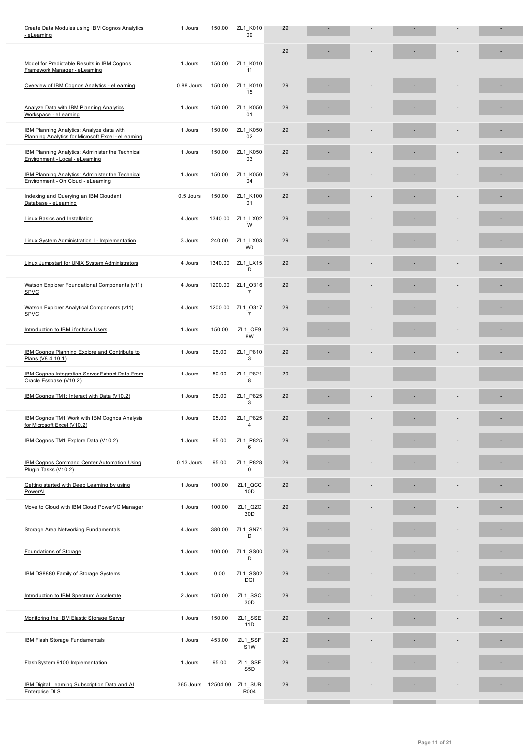|                                                                                                        |            |          |                             | 29 |  |   |  |
|--------------------------------------------------------------------------------------------------------|------------|----------|-----------------------------|----|--|---|--|
| Model for Predictable Results in IBM Cognos<br>Framework Manager - eLearning                           | 1 Jours    | 150.00   | ZL1 K010<br>11              |    |  |   |  |
| Overview of IBM Cognos Analytics - eLearning                                                           | 0.88 Jours | 150.00   | ZL1 K010<br>15              | 29 |  |   |  |
| Analyze Data with IBM Planning Analytics<br>Workspace - eLearning                                      | 1 Jours    | 150.00   | ZL1 K050<br>01              | 29 |  |   |  |
| <b>IBM Planning Analytics: Analyze data with</b><br>Planning Analytics for Microsoft Excel - eLearning | 1 Jours    | 150.00   | ZL1 K050<br>02              | 29 |  |   |  |
| <b>IBM Planning Analytics: Administer the Technical</b><br>Environment - Local - eLearning             | 1 Jours    | 150.00   | ZL1 K050<br>03              | 29 |  |   |  |
| <b>IBM Planning Analytics: Administer the Technical</b><br>Environment - On Cloud - eLearning          | 1 Jours    | 150.00   | ZL1 K050<br>04              | 29 |  |   |  |
| Indexing and Querying an IBM Cloudant<br>Database - eLearning                                          | 0.5 Jours  | 150.00   | ZL1 K100<br>01              | 29 |  |   |  |
| Linux Basics and Installation                                                                          | 4 Jours    | 1340.00  | ZL1 LX02<br>W               | 29 |  |   |  |
| Linux System Administration I - Implementation                                                         | 3 Jours    | 240.00   | ZL1 LX03<br>W <sub>0</sub>  | 29 |  |   |  |
| Linux Jumpstart for UNIX System Administrators                                                         | 4 Jours    | 1340.00  | ZL1 LX15<br>D               | 29 |  | ٠ |  |
| Watson Explorer Foundational Components (v11)<br><b>SPVC</b>                                           | 4 Jours    | 1200.00  | ZL1 0316<br>$\overline{7}$  | 29 |  |   |  |
| Watson Explorer Analytical Components (v11)<br>SPVC                                                    | 4 Jours    | 1200.00  | ZL1 0317<br>$\overline{7}$  | 29 |  |   |  |
| Introduction to IBM i for New Users                                                                    | 1 Jours    | 150.00   | ZL1 OE9<br>8W               | 29 |  |   |  |
| IBM Cognos Planning Explore and Contribute to<br>Plans (V8.4 10.1)                                     | 1 Jours    | 95.00    | ZL1_P810<br>3               | 29 |  |   |  |
| <b>IBM Cognos Integration Server Extract Data From</b><br>Oracle Essbase (V10.2)                       | 1 Jours    | 50.00    | ZL1 P821<br>8               | 29 |  |   |  |
| IBM Cognos TM1: Interact with Data (V10.2)                                                             | 1 Jours    | 95.00    | ZL1 P825<br>3               | 29 |  |   |  |
| IBM Cognos TM1 Work with IBM Cognos Analysis<br>for Microsoft Excel (V10.2)                            | 1 Jours    | 95.00    | ZL1 P825<br>4               | 29 |  |   |  |
| IBM Cognos TM1 Explore Data (V10.2)                                                                    | 1 Jours    | 95.00    | ZL1 P825<br>6               | 29 |  |   |  |
| <b>IBM Cognos Command Center Automation Using</b><br>Plugin Tasks (V10.2)                              | 0.13 Jours | 95.00    | ZL1 P828<br>$\mathbf 0$     | 29 |  |   |  |
| Getting started with Deep Learning by using<br>PowerAl                                                 | 1 Jours    | 100.00   | ZL1_QCC<br>10D              | 29 |  |   |  |
| Move to Cloud with IBM Cloud PowerVC Manager                                                           | 1 Jours    | 100.00   | ZL1_QZC<br>30D              | 29 |  |   |  |
| Storage Area Networking Fundamentals                                                                   | 4 Jours    | 380.00   | ZL1 SN71<br>D               | 29 |  |   |  |
| Foundations of Storage                                                                                 | 1 Jours    | 100.00   | ZL1_SS00<br>D               | 29 |  |   |  |
| IBM DS8880 Family of Storage Systems                                                                   | 1 Jours    | 0.00     | ZL1_SS02<br>DGI             | 29 |  |   |  |
| Introduction to IBM Spectrum Accelerate                                                                | 2 Jours    | 150.00   | ZL1_SSC<br>30D              | 29 |  |   |  |
| Monitoring the IBM Elastic Storage Server                                                              | 1 Jours    | 150.00   | ZL1_SSE<br>11D              | 29 |  |   |  |
| <b>IBM Flash Storage Fundamentals</b>                                                                  | 1 Jours    | 453.00   | ZL1_SSF<br>S <sub>1</sub> W | 29 |  |   |  |
| FlashSystem 9100 Implementation                                                                        | 1 Jours    | 95.00    | ZL1_SSF<br>S5D              | 29 |  |   |  |
| IBM Digital Learning Subscription Data and AI<br><b>Enterprise DLS</b>                                 | 365 Jours  | 12504.00 | ZL1_SUB<br>R004             | 29 |  |   |  |
|                                                                                                        |            |          |                             |    |  |   |  |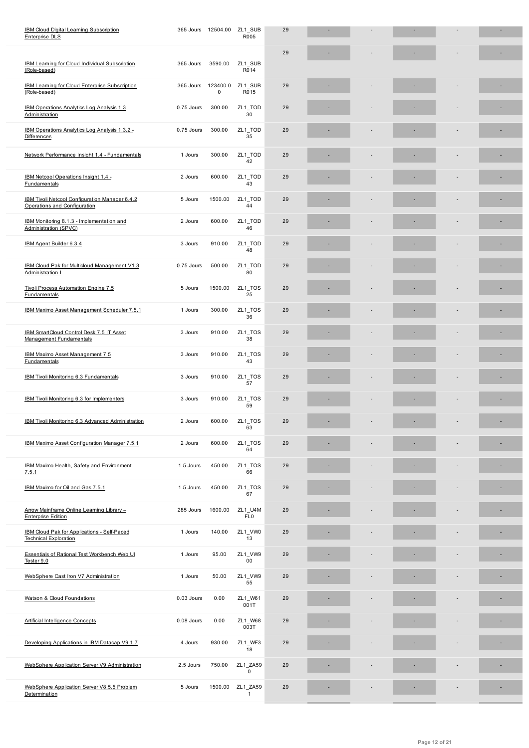|                                                                                    |            |                       |                            | 29 |  |   |   |
|------------------------------------------------------------------------------------|------------|-----------------------|----------------------------|----|--|---|---|
| IBM Learning for Cloud Individual Subscription<br>(Role-based)                     | 365 Jours  | 3590.00               | ZL1 SUB<br>R014            |    |  |   |   |
| IBM Learning for Cloud Enterprise Subscription<br>(Role-based)                     | 365 Jours  | 123400.0<br>$\pmb{0}$ | ZL1_SUB<br>R015            | 29 |  |   |   |
| IBM Operations Analytics Log Analysis 1.3<br>Administration                        | 0.75 Jours | 300.00                | ZL1_TOD<br>30              | 29 |  |   |   |
| IBM Operations Analytics Log Analysis 1.3.2 -<br><b>Differences</b>                | 0.75 Jours | 300.00                | ZL1_TOD<br>35              | 29 |  |   | ۰ |
| Network Performance Insight 1.4 - Fundamentals                                     | 1 Jours    | 300.00                | ZL1_TOD<br>42              | 29 |  |   |   |
| IBM Netcool Operations Insight 1.4 -<br><b>Fundamentals</b>                        | 2 Jours    | 600.00                | ZL1_TOD<br>43              | 29 |  |   |   |
| IBM Tivoli Netcool Configuration Manager 6.4.2<br>Operations and Configuration     | 5 Jours    | 1500.00               | ZL1_TOD<br>44              | 29 |  |   | ۰ |
| IBM Monitoring 8.1.3 - Implementation and<br>Administration (SPVC)                 | 2 Jours    | 600.00                | ZL1_TOD<br>46              | 29 |  |   | ٠ |
| IBM Agent Builder 6.3.4                                                            | 3 Jours    | 910.00                | ZL1_TOD<br>48              | 29 |  | ÷ | ۰ |
| IBM Cloud Pak for Multicloud Management V1.3<br>Administration I                   | 0.75 Jours | 500.00                | ZL1 TOD<br>80              | 29 |  |   |   |
| Tivoli Process Automation Engine 7.5<br><b>Fundamentals</b>                        | 5 Jours    | 1500.00               | ZL1_TOS<br>25              | 29 |  |   |   |
| IBM Maximo Asset Management Scheduler 7.5.1                                        | 1 Jours    | 300.00                | ZL1_TOS<br>36              | 29 |  |   |   |
| IBM SmartCloud Control Desk 7.5 IT Asset<br><b>Management Fundamentals</b>         | 3 Jours    | 910.00                | ZL1_TOS<br>38              | 29 |  |   |   |
| IBM Maximo Asset Management 7.5<br>Fundamentals                                    | 3 Jours    | 910.00                | ZL1_TOS<br>43              | 29 |  |   |   |
| IBM Tivoli Monitoring 6.3 Fundamentals                                             | 3 Jours    | 910.00                | ZL1_TOS<br>57              | 29 |  |   | ۰ |
| IBM Tivoli Monitoring 6.3 for Implementers                                         | 3 Jours    | 910.00                | ZL1_TOS<br>59              | 29 |  |   |   |
| IBM Tivoli Monitoring 6.3 Advanced Administration                                  | 2 Jours    | 600.00                | ZL1_TOS<br>63              | 29 |  |   |   |
| IBM Maximo Asset Configuration Manager 7.5.1                                       | 2 Jours    | 600.00                | ZL1 TOS<br>64              | 29 |  |   |   |
| IBM Maximo Health, Safety and Environment<br>7.5.1                                 | 1.5 Jours  | 450.00                | ZL1_TOS<br>66              | 29 |  |   |   |
| IBM Maximo for Oil and Gas 7.5.1                                                   | 1.5 Jours  | 450.00                | ZL1_TOS<br>67              | 29 |  |   |   |
| Arrow Mainframe Online Learning Library -<br><b>Enterprise Edition</b>             | 285 Jours  | 1600.00               | ZL1 U4M<br>FL <sub>0</sub> | 29 |  |   |   |
| <b>IBM Cloud Pak for Applications - Self-Paced</b><br><b>Technical Exploration</b> | 1 Jours    | 140.00                | ZL1_VW0<br>13              | 29 |  |   |   |
| Essentials of Rational Test Workbench Web UI<br>Tester 9.0                         | 1 Jours    | 95.00                 | ZL1_VW9<br>00              | 29 |  |   |   |
| WebSphere Cast Iron V7 Administration                                              | 1 Jours    | 50.00                 | ZL1_VW9<br>55              | 29 |  |   |   |
| Watson & Cloud Foundations                                                         | 0.03 Jours | 0.00                  | ZL1_W61<br>001T            | 29 |  |   |   |
| <b>Artificial Intelligence Concepts</b>                                            | 0.08 Jours | 0.00                  | ZL1_W68<br>003T            | 29 |  |   |   |
| Developing Applications in IBM Datacap V9.1.7                                      | 4 Jours    | 930.00                | ZL1_WF3<br>18              | 29 |  | ٠ | ۰ |
| WebSphere Application Server V9 Administration                                     | 2.5 Jours  | 750.00                | ZL1_ZA59<br>0              | 29 |  |   |   |
| WebSphere Application Server V8.5.5 Problem<br>Determination                       | 5 Jours    | 1500.00               | ZL1_ZA59<br>$\mathbf{1}$   | 29 |  |   |   |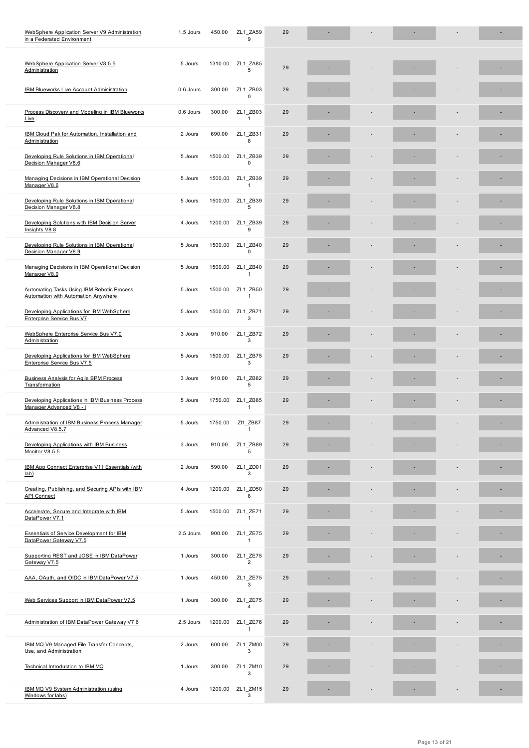| WebSphere Application Server V8.5.5<br>Administration                             | 5 Jours   | 1310.00 | ZL1 ZA85<br>5              | 29 |  |  |   |
|-----------------------------------------------------------------------------------|-----------|---------|----------------------------|----|--|--|---|
| <b>IBM Blueworks Live Account Administration</b>                                  | 0.6 Jours | 300.00  | ZL1 ZB03<br>$\mathbf 0$    | 29 |  |  |   |
| Process Discovery and Modeling in IBM Blueworks<br>Live                           | 0.6 Jours | 300.00  | ZL1 ZB03<br>$\mathbf{1}$   | 29 |  |  |   |
| IBM Cloud Pak for Automation, Installation and<br>Administration                  | 2 Jours   | 690.00  | ZL1 ZB31<br>8              | 29 |  |  |   |
| Developing Rule Solutions in IBM Operational<br>Decision Manager V8.6             | 5 Jours   | 1500.00 | ZL1 ZB39<br>$\mathbf 0$    | 29 |  |  |   |
| Managing Decisions in IBM Operational Decision<br>Manager V8.6                    | 5 Jours   | 1500.00 | ZL1 ZB39<br>$\mathbf{1}$   | 29 |  |  |   |
| Developing Rule Solutions in IBM Operational<br>Decision Manager V8.8             | 5 Jours   | 1500.00 | ZL1 ZB39<br>5              | 29 |  |  |   |
| Developing Solutions with IBM Decision Server<br>Insights V8.8                    | 4 Jours   | 1200.00 | ZL1 ZB39<br>9              | 29 |  |  |   |
| Developing Rule Solutions in IBM Operational<br>Decision Manager V8.9             | 5 Jours   | 1500.00 | ZL1 ZB40<br>$\mathbf 0$    | 29 |  |  |   |
| Managing Decisions in IBM Operational Decision<br>Manager V8.9                    | 5 Jours   | 1500.00 | ZL1 ZB40<br>$\mathbf{1}$   | 29 |  |  | ۰ |
| Automating Tasks Using IBM Robotic Process<br>Automation with Automation Anywhere | 5 Jours   | 1500.00 | ZL1 ZB50<br>$\mathbf{1}$   | 29 |  |  | ٠ |
| Developing Applications for IBM WebSphere<br>Enterprise Service Bus V7            | 5 Jours   | 1500.00 | ZL1 ZB71<br>3              | 29 |  |  |   |
| WebSphere Enterprise Service Bus V7.0<br>Administration                           | 3 Jours   | 910.00  | ZL1 ZB72<br>3              | 29 |  |  |   |
| Developing Applications for IBM WebSphere<br>Enterprise Service Bus V7.5          | 5 Jours   | 1500.00 | ZL1 ZB75<br>3              | 29 |  |  |   |
| <b>Business Analysis for Agile BPM Process</b><br>Transformation                  | 3 Jours   | 910.00  | ZL1 ZB82<br>5              | 29 |  |  |   |
| Developing Applications in IBM Business Process<br>Manager Advanced V8 - I        | 5 Jours   | 1750.00 | ZL1 ZB85<br>$\mathbf{1}$   | 29 |  |  |   |
| Administration of IBM Business Process Manager<br>Advanced V8.5.7                 | 5 Jours   | 1750.00 | ZI1 ZB87<br>$\mathbf{1}$   | 29 |  |  | ٠ |
| Developing Applications with IBM Business<br>Monitor V8.5.5                       | 3 Jours   | 910.00  | ZL1 ZB89                   | 29 |  |  |   |
| IBM App Connect Enterprise V11 Essentials (with<br>lab)                           | 2 Jours   | 590.00  | ZL1 ZD01<br>3              | 29 |  |  |   |
| Creating, Publishing, and Securing APIs with IBM<br><b>API Connect</b>            | 4 Jours   | 1200.00 | ZL1 ZD50<br>8              | 29 |  |  |   |
| Accelerate, Secure and Integrate with IBM<br>DataPower V7.1                       | 5 Jours   | 1500.00 | ZL1 ZE71<br>$\mathbf{1}$   | 29 |  |  |   |
| <b>Essentials of Service Development for IBM</b><br>DataPower Gateway V7.5        | 2.5 Jours | 900.00  | ZL1 ZE75<br>$\mathbf{1}$   | 29 |  |  |   |
| Supporting REST and JOSE in IBM DataPower<br>Gateway V7.5                         | 1 Jours   | 300.00  | ZL1_ZE75<br>$\overline{2}$ | 29 |  |  |   |
| AAA, OAuth, and OIDC in IBM DataPower V7.5                                        | 1 Jours   | 450.00  | ZL1 ZE75<br>3              | 29 |  |  |   |
| Web Services Support in IBM DataPower V7.5                                        | 1 Jours   | 300.00  | ZL1 ZE75<br>4              | 29 |  |  |   |
| Administration of IBM DataPower Gateway V7.6                                      | 2.5 Jours | 1200.00 | ZL1 ZE76<br>1              | 29 |  |  |   |
| IBM MQ V9 Managed File Transfer Concepts,<br>Use, and Administration              | 2 Jours   | 600.00  | ZL1 ZM00<br>3              | 29 |  |  |   |
| Technical Introduction to IBM MQ                                                  | 1 Jours   | 300.00  | ZL1 ZM10<br>3              | 29 |  |  |   |
| IBM MQ V9 System Administration (using<br>Windows for labs)                       | 4 Jours   | 1200.00 | $ZL1$ _ZM15<br>3           | 29 |  |  |   |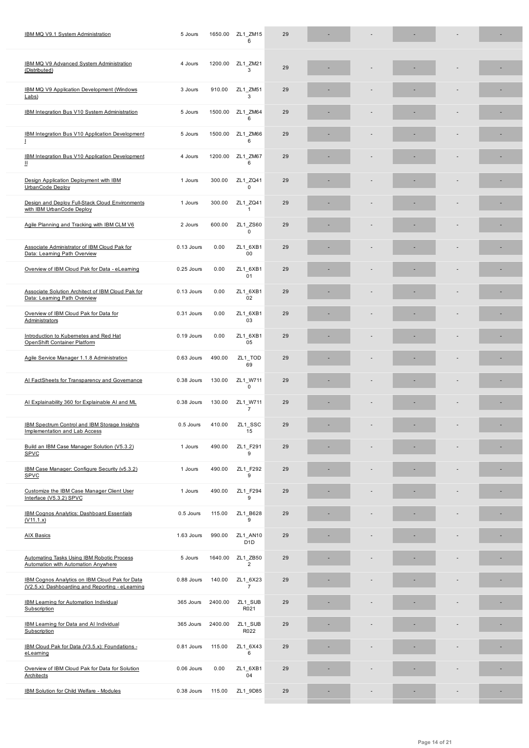| IBM MQ V9 Advanced System Administration<br>(Distributed)                                          | 4 Jours    | 1200.00 | ZL1 ZM21<br>3                | 29 |                          |                                 |  |
|----------------------------------------------------------------------------------------------------|------------|---------|------------------------------|----|--------------------------|---------------------------------|--|
| IBM MQ V9 Application Development (Windows<br>Labs)                                                | 3 Jours    | 910.00  | ZL1 ZM51<br>3                | 29 |                          |                                 |  |
| IBM Integration Bus V10 System Administration                                                      | 5 Jours    | 1500.00 | ZL1 ZM64<br>6                | 29 |                          |                                 |  |
| IBM Integration Bus V10 Application Development<br>T                                               | 5 Jours    | 1500.00 | ZL1 ZM66<br>6                | 29 |                          |                                 |  |
| IBM Integration Bus V10 Application Development<br>Ш                                               | 4 Jours    | 1200.00 | ZL1 ZM67<br>6                | 29 |                          |                                 |  |
| Design Application Deployment with IBM<br>UrbanCode Deploy                                         | 1 Jours    | 300.00  | ZL1_ZQ41<br>0                | 29 |                          |                                 |  |
| Design and Deploy Full-Stack Cloud Environments<br>with IBM UrbanCode Deploy                       | 1 Jours    | 300.00  | ZL1_ZQ41<br>$\mathbf{1}$     | 29 |                          |                                 |  |
| Agile Planning and Tracking with IBM CLM V6                                                        | 2 Jours    | 600.00  | ZL1 ZS60<br>0                | 29 |                          |                                 |  |
| Associate Administrator of IBM Cloud Pak for<br>Data: Learning Path Overview                       | 0.13 Jours | 0.00    | ZL1_6XB1<br>00               | 29 |                          |                                 |  |
| Overview of IBM Cloud Pak for Data - eLearning                                                     | 0.25 Jours | 0.00    | ZL1_6XB1<br>01               | 29 |                          |                                 |  |
| Associate Solution Architect of IBM Cloud Pak for<br>Data: Learning Path Overview                  | 0.13 Jours | 0.00    | ZL1 6XB1<br>02               | 29 |                          |                                 |  |
| Overview of IBM Cloud Pak for Data for<br>Administrators                                           | 0.31 Jours | 0.00    | ZL1_6XB1<br>03               | 29 |                          |                                 |  |
| Introduction to Kubernetes and Red Hat<br>OpenShift Container Platform                             | 0.19 Jours | 0.00    | ZL1_6XB1<br>05               | 29 |                          |                                 |  |
| Agile Service Manager 1.1.8 Administration                                                         | 0.63 Jours | 490.00  | ZL1 TOD<br>69                | 29 |                          |                                 |  |
| Al FactSheets for Transparency and Governance                                                      | 0.38 Jours | 130.00  | ZL1 W711<br>0                | 29 |                          |                                 |  |
| Al Explainability 360 for Explainable AI and ML                                                    | 0.38 Jours | 130.00  | ZL1 W711<br>$\overline{7}$   | 29 |                          |                                 |  |
| IBM Spectrum Control and IBM Storage Insights<br>Implementation and Lab Access                     | 0.5 Jours  | 410.00  | ZL1_SSC<br>15                | 29 |                          |                                 |  |
| Build an IBM Case Manager Solution (V5.3.2)<br><b>SPVC</b>                                         | 1 Jours    | 490.00  | ZL1 F291<br>9                | 29 |                          |                                 |  |
| IBM Case Manager: Configure Security (v5.3.2)<br>SPVC                                              | 1 Jours    | 490.00  | ZL1 F292<br>9                | 29 |                          |                                 |  |
| Customize the IBM Case Manager Client User<br>Interface (V5.3.2) SPVC                              | 1 Jours    | 490.00  | ZL1 F294<br>9                | 29 |                          |                                 |  |
| IBM Cognos Analytics: Dashboard Essentials<br>(V11.1.x)                                            | 0.5 Jours  | 115.00  | ZL1 B628<br>9                | 29 |                          |                                 |  |
| <b>AIX Basics</b>                                                                                  | 1.63 Jours | 990.00  | ZL1 AN10<br>D <sub>1</sub> D | 29 |                          |                                 |  |
| <b>Automating Tasks Using IBM Robotic Process</b><br>Automation with Automation Anywhere           | 5 Jours    | 1640.00 | ZL1 ZB50<br>$\overline{2}$   | 29 |                          |                                 |  |
| IBM Cognos Analytics on IBM Cloud Pak for Data<br>(V2.5.x): Dashboarding and Reporting - eLearning | 0.88 Jours | 140.00  | ZL1_6X23<br>$\overline{7}$   | 29 |                          |                                 |  |
| <b>IBM Learning for Automation Individual</b><br>Subscription                                      | 365 Jours  | 2400.00 | ZL1_SUB<br>R021              | 29 |                          |                                 |  |
| IBM Learning for Data and AI Individual<br>Subscription                                            | 365 Jours  | 2400.00 | ZL1_SUB<br>R022              | 29 |                          |                                 |  |
| IBM Cloud Pak for Data (V3.5.x): Foundations -<br>eLeaming                                         | 0.81 Jours | 115.00  | ZL1 6X43<br>6                | 29 |                          |                                 |  |
| Overview of IBM Cloud Pak for Data for Solution<br>Architects                                      | 0.06 Jours | 0.00    | ZL1 6XB1<br>04               | 29 |                          |                                 |  |
| IBM Solution for Child Welfare - Modules                                                           | 0.38 Jours | 115.00  | ZL1_9D85                     | 29 | $\overline{\phantom{a}}$ | $\centering \label{eq:reduced}$ |  |
|                                                                                                    |            |         |                              |    |                          |                                 |  |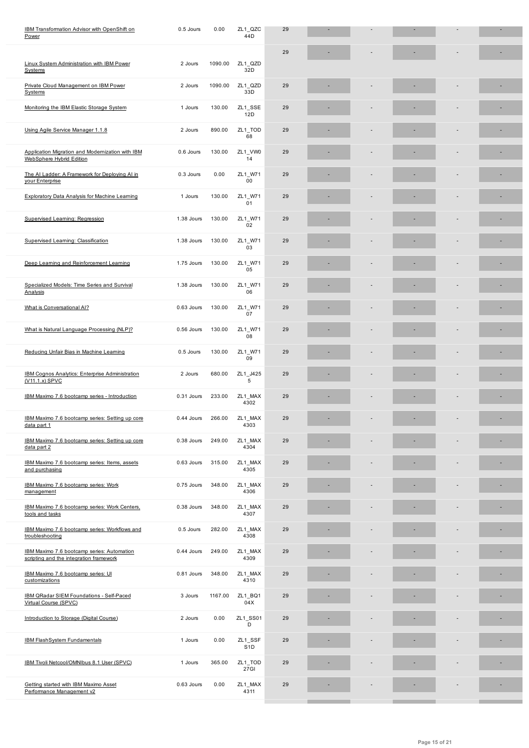|                                                                                       |            |         |                             | 29 |  |  |    |
|---------------------------------------------------------------------------------------|------------|---------|-----------------------------|----|--|--|----|
| Linux System Administration with IBM Power<br>Systems                                 | 2 Jours    | 1090.00 | ZL1 QZD<br>32D              |    |  |  |    |
| Private Cloud Management on IBM Power<br>Systems                                      | 2 Jours    | 1090.00 | ZL1_QZD<br>33D              | 29 |  |  |    |
| Monitoring the IBM Elastic Storage System                                             | 1 Jours    | 130.00  | ZL1_SSE<br>12D              | 29 |  |  |    |
| Using Agile Service Manager 1.1.8                                                     | 2 Jours    | 890.00  | ZL1_TOD<br>68               | 29 |  |  | E. |
| Application Migration and Modernization with IBM<br>WebSphere Hybrid Edition          | 0.6 Jours  | 130.00  | ZL1_VW0<br>14               | 29 |  |  |    |
| The AI Ladder: A Framework for Deploying AI in<br>your Enterprise                     | 0.3 Jours  | 0.00    | ZL1_W71<br>00               | 29 |  |  |    |
| <b>Exploratory Data Analysis for Machine Learning</b>                                 | 1 Jours    | 130.00  | ZL1_W71<br>01               | 29 |  |  |    |
| <b>Supervised Learning: Regression</b>                                                | 1.38 Jours | 130.00  | ZL1_W71<br>02               | 29 |  |  |    |
| Supervised Learning: Classification                                                   | 1.38 Jours | 130.00  | ZL1_W71<br>03               | 29 |  |  |    |
| Deep Learning and Reinforcement Learning                                              | 1.75 Jours | 130.00  | ZL1 W71<br>05               | 29 |  |  | E. |
| Specialized Models: Time Series and Survival<br>Analysis                              | 1.38 Jours | 130.00  | ZL1_W71<br>06               | 29 |  |  | ۰  |
| What is Conversational AI?                                                            | 0.63 Jours | 130.00  | ZL1_W71<br>07               | 29 |  |  | E. |
| What is Natural Language Processing (NLP)?                                            | 0.56 Jours | 130.00  | ZL1 W71<br>08               | 29 |  |  |    |
| Reducing Unfair Bias in Machine Learning                                              | 0.5 Jours  | 130.00  | ZL1_W71<br>09               | 29 |  |  |    |
| IBM Cognos Analytics: Enterprise Administration<br>(V11.1.x) SPVC                     | 2 Jours    | 680.00  | ZL1_J425<br>5               | 29 |  |  |    |
| IBM Maximo 7.6 bootcamp series - Introduction                                         | 0.31 Jours | 233.00  | ZL1 MAX<br>4302             | 29 |  |  |    |
| IBM Maximo 7.6 bootcamp series: Setting up core<br>data part 1                        | 0.44 Jours | 266.00  | ZL1_MAX<br>4303             | 29 |  |  |    |
| IBM Maximo 7.6 bootcamp series: Setting up core<br>data part 2                        | 0.38 Jours | 249.00  | ZL1_MAX<br>4304             | 29 |  |  | ٠  |
| IBM Maximo 7.6 bootcamp series: Items, assets<br>and purchasing                       | 0.63 Jours | 315.00  | ZL1_MAX<br>4305             | 29 |  |  |    |
| IBM Maximo 7.6 bootcamp series: Work<br>management                                    | 0.75 Jours | 348.00  | ZL1_MAX<br>4306             | 29 |  |  |    |
| IBM Maximo 7.6 bootcamp series: Work Centers,<br>tools and tasks                      | 0.38 Jours | 348.00  | ZL1_MAX<br>4307             | 29 |  |  |    |
| IBM Maximo 7.6 bootcamp series: Workflows and<br>troubleshooting                      | 0.5 Jours  | 282.00  | ZL1_MAX<br>4308             | 29 |  |  |    |
| IBM Maximo 7.6 bootcamp series: Automation<br>scripting and the integration framework | 0.44 Jours | 249.00  | ZL1_MAX<br>4309             | 29 |  |  |    |
| IBM Maximo 7.6 bootcamp series: UI<br>customizations                                  | 0.81 Jours | 348.00  | ZL1_MAX<br>4310             | 29 |  |  |    |
| IBM QRadar SIEM Foundations - Self-Paced<br>Virtual Course (SPVC)                     | 3 Jours    | 1167.00 | ZL1_BQ1<br>04X              | 29 |  |  |    |
| Introduction to Storage (Digital Course)                                              | 2 Jours    | 0.00    | ZL1_SS01<br>D               | 29 |  |  |    |
| <b>IBM FlashSystem Fundamentals</b>                                                   | 1 Jours    | 0.00    | ZL1_SSF<br>S <sub>1</sub> D | 29 |  |  |    |
| IBM Tivoli Netcool/OMNIbus 8.1 User (SPVC)                                            | 1 Jours    | 365.00  | ZL1_TOD<br>27GI             | 29 |  |  |    |
| Getting started with IBM Maximo Asset<br>Performance Management v2                    | 0.63 Jours | 0.00    | ZL1_MAX<br>4311             | 29 |  |  |    |
|                                                                                       |            |         |                             |    |  |  |    |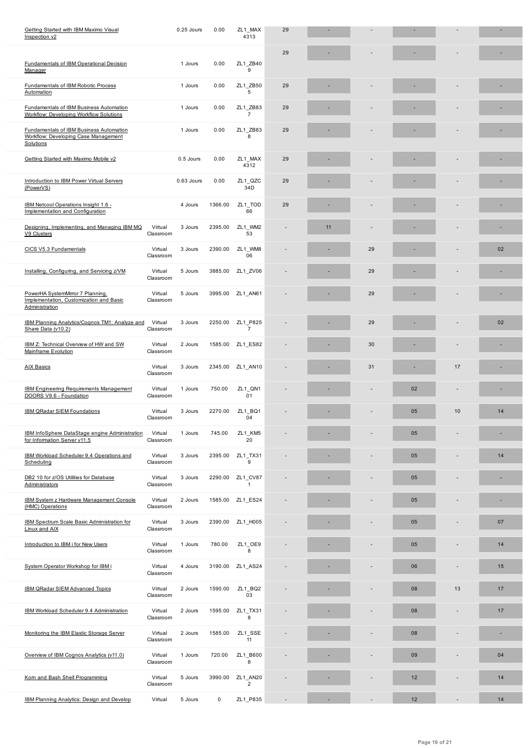|                                                                                                     |                      |            |         |                            | 29 |    |    |    |    |    |
|-----------------------------------------------------------------------------------------------------|----------------------|------------|---------|----------------------------|----|----|----|----|----|----|
| <b>Fundamentals of IBM Operational Decision</b><br>Manager                                          |                      | 1 Jours    | 0.00    | ZL1 ZB40<br>9              |    |    |    |    |    |    |
| Fundamentals of IBM Robotic Process<br>Automation                                                   |                      | 1 Jours    | 0.00    | ZL1 ZB50<br>5              | 29 |    |    |    |    |    |
| <b>Fundamentals of IBM Business Automation</b><br>Workflow: Developing Workflow Solutions           |                      | 1 Jours    | 0.00    | ZL1_ZB83<br>$\overline{7}$ | 29 |    |    |    |    |    |
| <b>Fundamentals of IBM Business Automation</b><br>Workflow: Developing Case Management<br>Solutions |                      | 1 Jours    | 0.00    | ZL1 ZB83<br>8              | 29 |    |    |    |    |    |
| Getting Started with Maximo Mobile v2                                                               |                      | 0.5 Jours  | 0.00    | ZL1_MAX<br>4312            | 29 |    |    |    |    |    |
| Introduction to IBM Power Virtual Servers<br>(PowerVS)                                              |                      | 0.63 Jours | 0.00    | ZL1 QZC<br>34D             | 29 |    |    |    |    |    |
| IBM Netcool Operations Insight 1.6 -<br>Implementation and Configuration                            |                      | 4 Jours    | 1366.00 | ZL1 TOD<br>66              | 29 |    |    |    |    |    |
| Designing, Implementing, and Managing IBM MQ<br>V9 Clusters                                         | Virtual<br>Classroom | 3 Jours    | 2395.00 | ZL1 WM2<br>53              |    | 11 |    |    |    | ۰  |
| CICS V5.3 Fundamentals                                                                              | Virtual<br>Classroom | 3 Jours    | 2390.00 | ZL1 WM8<br>06              |    |    | 29 |    |    | 02 |
| Installing, Configuring, and Servicing z/VM                                                         | Virtual<br>Classroom | 5 Jours    | 3885.00 | ZL1 ZV06                   |    |    | 29 |    |    |    |
| PowerHA SystemMirror 7 Planning,<br>Implementation, Customization and Basic<br>Administration       | Virtual<br>Classroom | 5 Jours    | 3995.00 | ZL1_AN61                   |    |    | 29 |    |    | ٠  |
| IBM Planning Analytics/Cognos TM1: Analyze and<br>Share Data (v10.2)                                | Virtual<br>Classroom | 3 Jours    | 2250.00 | ZL1_P825<br>$\overline{7}$ |    |    | 29 |    |    | 02 |
| IBM Z: Technical Overview of HW and SW<br>Mainframe Evolution                                       | Virtual<br>Classroom | 2 Jours    | 1585.00 | ZL1 ES82                   |    |    | 30 |    |    | ۰  |
| <b>AIX Basics</b>                                                                                   | Virtual<br>Classroom | 3 Jours    | 2345.00 | ZL1 AN10                   |    |    | 31 |    | 17 |    |
| <b>IBM Engineering Requirements Management</b><br>DOORS V9.6 - Foundation                           | Virtual<br>Classroom | 1 Jours    | 750.00  | ZL1_QN1<br>01              |    |    |    | 02 | ٠  |    |
| IBM QRadar SIEM Foundations                                                                         | Virtual<br>Classroom | 3 Jours    | 2270.00 | ZL1 BQ1<br>04              |    |    |    | 05 | 10 | 14 |
| IBM InfoSphere DataStage engine Administration<br>for Information Server v11.5                      | Virtual<br>Classroom | 1 Jours    | 745.00  | ZL1_KM5<br>20              |    |    |    | 05 |    | ٠  |
| IBM Workload Scheduler 9.4 Operations and<br>Scheduling                                             | Virtual<br>Classroom | 3 Jours    | 2395.00 | ZL1_TX31<br>9              |    |    |    | 05 |    | 14 |
| DB2 10 for z/OS Utilities for Database<br>Administrators                                            | Virtual<br>Classroom | 3 Jours    | 2290.00 | ZL1 CV87<br>$\mathbf{1}$   |    |    |    | 05 |    | ٠  |
| <b>IBM System z Hardware Management Console</b><br>(HMC) Operations                                 | Virtual<br>Classroom | 2 Jours    | 1585.00 | ZL1_ES24                   |    |    |    | 05 |    |    |
| <b>IBM Spectrum Scale Basic Administration for</b><br>Linux and AIX                                 | Virtual<br>Classroom | 3 Jours    | 2390.00 | ZL1_H005                   |    |    |    | 05 |    | 07 |
| Introduction to IBM i for New Users                                                                 | Virtual<br>Classroom | 1 Jours    | 780.00  | ZL1_OE9<br>8               |    |    |    | 05 |    | 14 |
| System Operator Workshop for IBM i                                                                  | Virtual<br>Classroom | 4 Jours    | 3190.00 | ZL1_AS24                   |    |    |    | 06 |    | 15 |
| IBM QRadar SIEM Advanced Topics                                                                     | Virtual<br>Classroom | 2 Jours    | 1590.00 | ZL1_BQ2<br>03              |    |    |    | 08 | 13 | 17 |
| IBM Workload Scheduler 9.4 Administration                                                           | Virtual<br>Classroom | 2 Jours    | 1595.00 | ZL1_TX31<br>8              |    |    |    | 08 |    | 17 |
| Monitoring the IBM Elastic Storage Server                                                           | Virtual<br>Classroom | 2 Jours    | 1585.00 | ZL1_SSE<br>11              |    |    |    | 08 |    |    |
| Overview of IBM Cognos Analytics (v11.0)                                                            | Virtual<br>Classroom | 1 Jours    | 720.00  | ZL1 B600<br>8              |    |    |    | 09 |    | 04 |
| Korn and Bash Shell Programming                                                                     | Virtual<br>Classroom | 5 Jours    | 3990.00 | ZL1_AN20<br>$\overline{2}$ |    |    |    | 12 |    | 14 |
| IBM Planning Analytics: Design and Develop                                                          | Virtual              | 5 Jours    | 0       | ZL1_P835                   |    |    |    | 12 |    | 14 |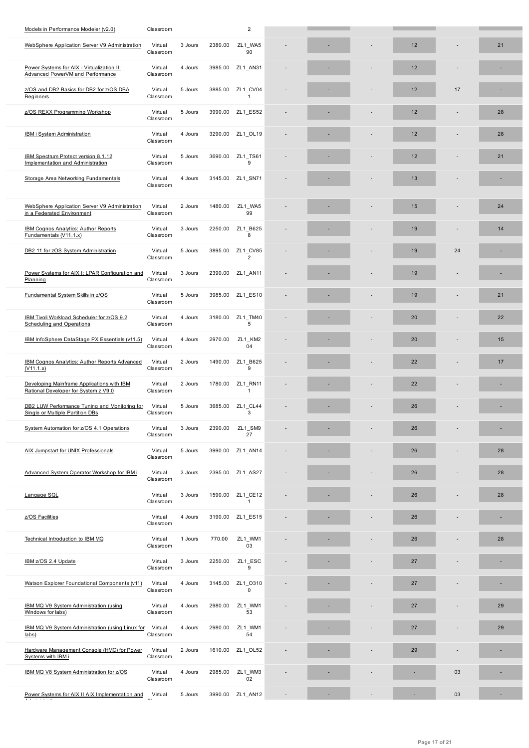| WebSphere Application Server V9 Administration                                     | Virtual<br>Classroom | 3 Jours | 2380.00 | ZLT_WA5<br>90              |  | 12 |    | 21 |
|------------------------------------------------------------------------------------|----------------------|---------|---------|----------------------------|--|----|----|----|
| Power Systems for AIX - Virtualization II:<br>Advanced PowerVM and Performance     | Virtual<br>Classroom | 4 Jours | 3985.00 | ZL1 AN31                   |  | 12 |    |    |
| z/OS and DB2 Basics for DB2 for z/OS DBA<br>Beginners                              | Virtual<br>Classroom | 5 Jours | 3885.00 | ZL1 CV04<br>$\mathbf{1}$   |  | 12 | 17 |    |
| z/OS REXX Programming Workshop                                                     | Virtual<br>Classroom | 5 Jours | 3990.00 | ZL1 ES52                   |  | 12 |    | 28 |
| <b>IBM i System Administration</b>                                                 | Virtual<br>Classroom | 4 Jours | 3290.00 | ZL1 OL19                   |  | 12 |    | 28 |
| IBM Spectrum Protect version 8.1.12<br>Implementation and Administration           | Virtual<br>Classroom | 5 Jours | 3690.00 | ZL1_TS61<br>9              |  | 12 |    | 21 |
| Storage Area Networking Fundamentals                                               | Virtual<br>Classroom | 4 Jours | 3145.00 | ZL1_SN71                   |  | 13 |    |    |
| WebSphere Application Server V9 Administration<br>in a Federated Environment       | Virtual<br>Classroom | 2 Jours | 1480.00 | ZL1 WA5<br>99              |  | 15 |    | 24 |
| IBM Cognos Analytics: Author Reports<br>Fundamentals (V11.1.x)                     | Virtual<br>Classroom | 3 Jours | 2250.00 | ZL1 B625<br>8              |  | 19 |    | 14 |
| DB2 11 for zOS System Administration                                               | Virtual<br>Classroom | 5 Jours | 3895.00 | ZL1 CV85<br>$\overline{2}$ |  | 19 | 24 |    |
| Power Systems for AIX I: LPAR Configuration and<br>Planning                        | Virtual<br>Classroom | 3 Jours | 2390.00 | ZL1 AN11                   |  | 19 |    |    |
| Fundamental System Skills in z/OS                                                  | Virtual<br>Classroom | 5 Jours | 3985.00 | ZL1_ES10                   |  | 19 |    | 21 |
| IBM Tivoli Workload Scheduler for z/OS 9.2<br><b>Scheduling and Operations</b>     | Virtual<br>Classroom | 4 Jours | 3180.00 | ZL1_TM40<br>5              |  | 20 |    | 22 |
| IBM InfoSphere DataStage PX Essentials (v11.5)                                     | Virtual<br>Classroom | 4 Jours | 2970.00 | ZL1 KM2<br>04              |  | 20 |    | 15 |
| IBM Cognos Analytics: Author Reports Advanced<br>(V11.1.x)                         | Virtual<br>Classroom | 2 Jours | 1490.00 | ZL1 B625<br>9              |  | 22 |    | 17 |
| Developing Mainframe Applications with IBM<br>Rational Developer for System z V9.0 | Virtual<br>Classroom | 2 Jours | 1780.00 | ZL1 RN11<br>$\overline{1}$ |  | 22 |    |    |
| DB2 LUW Performance Tuning and Monitoring for<br>Single or Multiple Partition DBs  | Virtual<br>Classroom | 5 Jours | 3685.00 | ZL1 CL44<br>3              |  | 26 |    |    |
| System Automation for z/OS 4.1 Operations                                          | Virtual<br>Classroom | 3 Jours | 2390.00 | ZL1_SM9<br>27              |  | 26 |    |    |
| AIX Jumpstart for UNIX Professionals                                               | Virtual<br>Classroom | 5 Jours | 3990.00 | ZL1_AN14                   |  | 26 |    | 28 |
| Advanced System Operator Workshop for IBM i                                        | Virtual<br>Classroom | 3 Jours | 2395.00 | ZL1_AS27                   |  | 26 |    | 28 |
| Langage SQL                                                                        | Virtual<br>Classroom | 3 Jours | 1590.00 | ZL1_CE12<br>$\mathbf{1}$   |  | 26 |    | 28 |
| z/OS Facilities                                                                    | Virtual<br>Classroom | 4 Jours | 3190.00 | ZL1_ES15                   |  | 26 |    |    |
| Technical Introduction to IBM MQ                                                   | Virtual<br>Classroom | 1 Jours | 770.00  | ZL1_WM1<br>03              |  | 26 |    | 28 |
| IBM z/OS 2.4 Update                                                                | Virtual<br>Classroom | 3 Jours | 2250.00 | ZL1_ESC<br>9               |  | 27 |    |    |
| Watson Explorer Foundational Components (v11)                                      | Virtual<br>Classroom | 4 Jours | 3145.00 | ZL1 0310<br>0              |  | 27 |    |    |
| IBM MQ V9 System Administration (using<br>Windows for labs)                        | Virtual<br>Classroom | 4 Jours | 2980.00 | ZL1_WM1<br>53              |  | 27 |    | 29 |
| IBM MQ V9 System Administration (using Linux for<br>$_{\text{labs}}$               | Virtual<br>Classroom | 4 Jours | 2980.00 | ZL1_WM1<br>54              |  | 27 |    | 29 |
| Hardware Management Console (HMC) for Power<br>Systems with IBM i                  | Virtual<br>Classroom | 2 Jours | 1610.00 | ZL1_OL52                   |  | 29 |    |    |
| IBM MQ V8 System Administration for z/OS                                           | Virtual<br>Classroom | 4 Jours | 2985.00 | ZL1_WM3<br>02              |  |    | 03 |    |
| Power Systems for AIX II AIX Implementation and                                    | Virtual              | 5 Jours | 3990.00 | ZL1_AN12                   |  |    | 03 |    |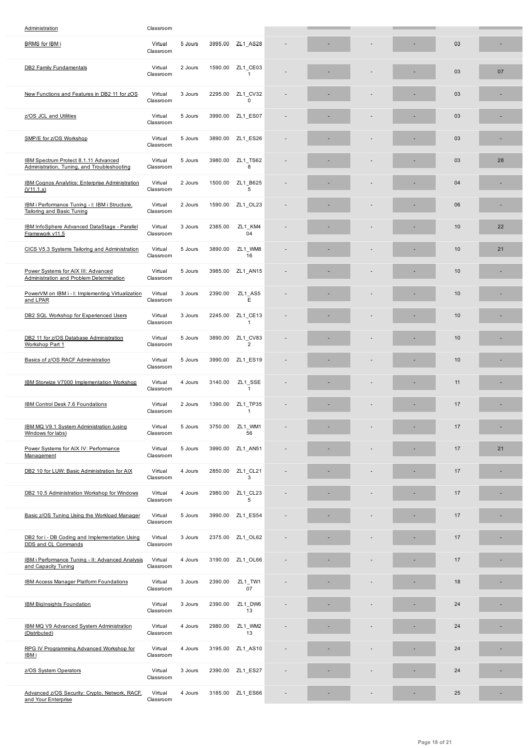| <u>ו ואוטר וטר טוארוט</u>                                                           | rmuan<br>Classroom   | <u>a anais</u> | 9999.QQ | <u>eri Tunen</u>           |  |  | vυ |    |
|-------------------------------------------------------------------------------------|----------------------|----------------|---------|----------------------------|--|--|----|----|
| <b>DB2 Family Fundamentals</b>                                                      | Virtual<br>Classroom | 2 Jours        | 1590.00 | ZL1 CE03<br>$\mathbf{1}$   |  |  | 03 | 07 |
| New Functions and Features in DB2 11 for zOS                                        | Virtual<br>Classroom | 3 Jours        | 2295.00 | ZL1 CV32<br>0              |  |  | 03 |    |
| z/OS JCL and Utilities                                                              | Virtual<br>Classroom | 5 Jours        | 3990.00 | ZL1 ES07                   |  |  | 03 |    |
| SMP/E for z/OS Workshop                                                             | Virtual<br>Classroom | 5 Jours        | 3890.00 | ZL1 ES26                   |  |  | 03 |    |
| IBM Spectrum Protect 8.1.11 Advanced<br>Administration, Tuning, and Troubleshooting | Virtual<br>Classroom | 5 Jours        | 3980.00 | ZL1_TS62<br>8              |  |  | 03 | 28 |
| <b>IBM Cognos Analytics: Enterprise Administration</b><br>(V11.1.x)                 | Virtual<br>Classroom | 2 Jours        | 1500.00 | ZL1_B625<br>5              |  |  | 04 |    |
| IBM i Performance Tuning - I: IBM i Structure,<br><b>Tailoring and Basic Tuning</b> | Virtual<br>Classroom | 2 Jours        | 1590.00 | ZL1_OL23                   |  |  | 06 | ٠  |
| IBM InfoSphere Advanced DataStage - Parallel<br>Framework v11.5                     | Virtual<br>Classroom | 3 Jours        | 2385.00 | ZL1 KM4<br>04              |  |  | 10 | 22 |
| CICS V5.3 Systems Tailoring and Administration                                      | Virtual<br>Classroom | 5 Jours        | 3890.00 | ZL1 WM8<br>16              |  |  | 10 | 21 |
| Power Systems for AIX III: Advanced<br>Administration and Problem Determination     | Virtual<br>Classroom | 5 Jours        | 3985.00 | ZL1 AN15                   |  |  | 10 |    |
| PowerVM on IBM i - I: Implementing Virtualization<br>and LPAR                       | Virtual<br>Classroom | 3 Jours        | 2390.00 | ZL1 AS5<br>Ε               |  |  | 10 |    |
| DB2 SQL Workshop for Experienced Users                                              | Virtual<br>Classroom | 3 Jours        | 2245.00 | ZL1 CE13<br>$\mathbf{1}$   |  |  | 10 |    |
| DB2 11 for z/OS Database Administration<br>Workshop Part 1                          | Virtual<br>Classroom | 5 Jours        | 3890.00 | ZL1 CV83<br>$\overline{2}$ |  |  | 10 |    |
| Basics of z/OS RACF Administration                                                  | Virtual<br>Classroom | 5 Jours        | 3990.00 | ZL1 ES19                   |  |  | 10 |    |
| IBM Storwize V7000 Implementation Workshop                                          | Virtual<br>Classroom | 4 Jours        | 3140.00 | ZL1_SSE<br>$\mathbf{1}$    |  |  | 11 |    |
| IBM Control Desk 7.6 Foundations                                                    | Virtual<br>Classroom | 2 Jours        | 1390.00 | ZL1_TP35<br>$\mathbf{1}$   |  |  | 17 |    |
| IBM MQ V9.1 System Administration (using<br>Windows for labs)                       | Virtual<br>Classroom | 5 Jours        | 3750.00 | ZL1 WM1<br>56              |  |  | 17 |    |
| Power Systems for AIX IV: Performance<br>Management                                 | Virtual<br>Classroom | 5 Jours        |         | 3990.00 ZL1_AN51           |  |  | 17 | 21 |
| DB2 10 for LUW: Basic Administration for AIX                                        | Virtual<br>Classroom | 4 Jours        | 2850.00 | ZL1_CL21<br>3              |  |  | 17 |    |
| DB2 10.5 Administration Workshop for Windows                                        | Virtual<br>Classroom | 4 Jours        | 2980.00 | ZL1 CL23<br>5              |  |  | 17 |    |
| Basic z/OS Tuning Using the Workload Manager                                        | Virtual<br>Classroom | 5 Jours        | 3990.00 | ZL1 ES54                   |  |  | 17 |    |
| DB2 for i - DB Coding and Implementation Using<br>DDS and CL Commands               | Virtual<br>Classroom | 3 Jours        | 2375.00 | ZL1_OL62                   |  |  | 17 |    |
| IBM i Performance Tuning - II: Advanced Analysis<br>and Capacity Tuning             | Virtual<br>Classroom | 4 Jours        | 3190.00 | ZL1_OL66                   |  |  | 17 |    |
| <b>IBM Access Manager Platform Foundations</b>                                      | Virtual<br>Classroom | 3 Jours        | 2390.00 | ZL1_TW1<br>07              |  |  | 18 |    |
| <b>IBM BigInsights Foundation</b>                                                   | Virtual<br>Classroom | 3 Jours        | 2390.00 | ZL1_DW6<br>13              |  |  | 24 |    |
| IBM MQ V9 Advanced System Administration<br>(Distributed)                           | Virtual<br>Classroom | 4 Jours        | 2980.00 | ZL1_WM2<br>13              |  |  | 24 |    |
| RPG IV Programming Advanced Workshop for<br><u>IBM i</u>                            | Virtual<br>Classroom | 4 Jours        | 3195.00 | ZL1_AS10                   |  |  | 24 |    |
| z/OS System Operators                                                               | Virtual<br>Classroom | 3 Jours        | 2390.00 | ZL1_ES27                   |  |  | 24 |    |
| Advanced z/OS Security: Crypto, Network, RACF,<br>and Your Enterprise               | Virtual<br>Classroom | 4 Jours        |         | 3185.00 ZL1_ES66           |  |  | 25 |    |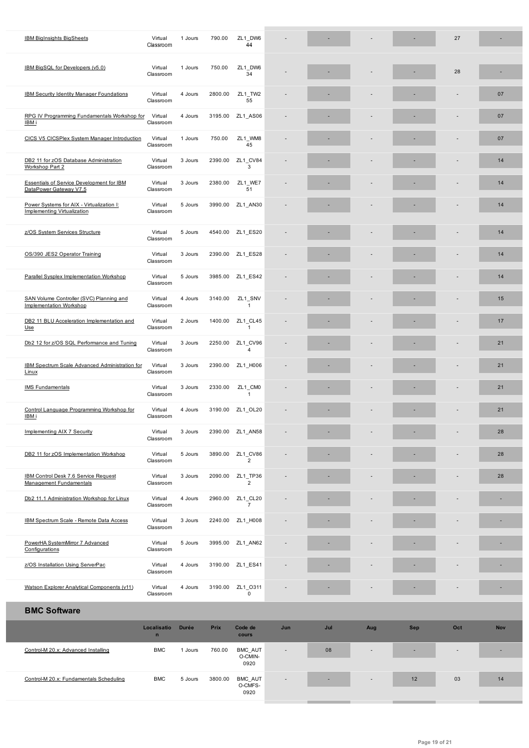|                                                                                 | <b>CISSECOLII</b>           |              |             | 44                         |     |     |     |     |     |            |
|---------------------------------------------------------------------------------|-----------------------------|--------------|-------------|----------------------------|-----|-----|-----|-----|-----|------------|
| IBM BigSQL for Developers (v5.0)                                                | Virtual<br>Classroom        | 1 Jours      | 750.00      | ZL1 DW6<br>34              |     |     |     |     | 28  |            |
| IBM Security Identity Manager Foundations                                       | Virtual<br>Classroom        | 4 Jours      | 2800.00     | ZL1 TW2<br>55              |     |     |     |     |     | 07         |
| RPG IV Programming Fundamentals Workshop for<br>IBM i                           | Virtual<br>Classroom        | 4 Jours      | 3195.00     | ZL1_AS06                   |     |     |     |     |     | 07         |
| CICS V5 CICSPlex System Manager Introduction                                    | Virtual<br>Classroom        | 1 Jours      | 750.00      | ZL1 WM8<br>45              |     |     |     |     |     | 07         |
| DB2 11 for zOS Database Administration<br>Workshop Part 2                       | Virtual<br>Classroom        | 3 Jours      | 2390.00     | ZL1_CV84<br>3              |     |     |     |     |     | 14         |
| <b>Essentials of Service Development for IBM</b><br>DataPower Gateway V7.5      | Virtual<br>Classroom        | 3 Jours      | 2380.00     | ZL1_WE7<br>51              |     |     |     |     |     | 14         |
| Power Systems for AIX - Virtualization I:<br><b>Implementing Virtualization</b> | Virtual<br>Classroom        | 5 Jours      | 3990.00     | ZL1 AN30                   |     |     |     |     |     | 14         |
| z/OS System Services Structure                                                  | Virtual<br>Classroom        | 5 Jours      |             | 4540.00 ZL1_ES20           |     |     |     |     |     | 14         |
| OS/390 JES2 Operator Training                                                   | Virtual<br>Classroom        | 3 Jours      | 2390.00     | ZL1 ES28                   |     |     |     |     |     | 14         |
| Parallel Sysplex Implementation Workshop                                        | Virtual<br>Classroom        | 5 Jours      | 3985.00     | ZL1_ES42                   |     |     |     |     |     | 14         |
| SAN Volume Controller (SVC) Planning and<br>Implementation Workshop             | Virtual<br>Classroom        | 4 Jours      | 3140.00     | ZL1_SNV<br>$\mathbf{1}$    |     |     |     |     |     | 15         |
| DB2 11 BLU Acceleration Implementation and<br>$Use$                             | Virtual<br>Classroom        | 2 Jours      | 1400.00     | ZL1_CL45<br>$\mathbf{1}$   |     |     |     |     |     | 17         |
| Db2 12 for z/OS SQL Performance and Tuning                                      | Virtual<br>Classroom        | 3 Jours      | 2250.00     | ZL1_CV96<br>$\overline{4}$ |     |     |     |     |     | 21         |
| <b>IBM Spectrum Scale Advanced Administration for</b><br>Linux                  | Virtual<br>Classroom        | 3 Jours      | 2390.00     | ZL1_H006                   |     |     |     |     |     | 21         |
| <b>IMS Fundamentals</b>                                                         | Virtual<br>Classroom        | 3 Jours      | 2330.00     | ZL1_CM0<br>$\mathbf{1}$    |     |     |     |     |     | 21         |
| Control Language Programming Workshop for<br>IBM i                              | Virtual<br>Classroom        | 4 Jours      | 3190.00     | ZL1_OL20                   |     |     |     |     |     | 21         |
| Implementing AIX 7 Security                                                     | Virtual<br>Classroom        | 3 Jours      |             | 2390.00 ZL1_AN58           |     |     |     |     |     | 28         |
| DB2 11 for zOS Implementation Workshop                                          | Virtual<br>Classroom        | 5 Jours      | 3890.00     | ZL1_CV86<br>$\overline{2}$ |     |     |     |     |     | 28         |
| IBM Control Desk 7.6 Service Request<br><b>Management Fundamentals</b>          | Virtual<br>Classroom        | 3 Jours      | 2090.00     | ZL1_TP36<br>$\overline{2}$ |     |     |     |     |     | 28         |
| Db2 11.1 Administration Workshop for Linux                                      | Virtual<br>Classroom        | 4 Jours      | 2960.00     | ZL1_CL20<br>$\overline{7}$ |     |     |     |     |     |            |
| IBM Spectrum Scale - Remote Data Access                                         | Virtual<br>Classroom        | 3 Jours      | 2240.00     | ZL1_H008                   |     |     |     |     |     |            |
| PowerHA SystemMirror 7 Advanced<br>Configurations                               | Virtual<br>Classroom        | 5 Jours      | 3995.00     | ZL1_AN62                   |     |     |     |     |     |            |
| z/OS Installation Using ServerPac                                               | Virtual<br>Classroom        | 4 Jours      | 3190.00     | ZL1_ES41                   |     |     |     |     |     |            |
| <b>Watson Explorer Analytical Components (v11)</b>                              | Virtual<br>Classroom        | 4 Jours      | 3190.00     | ZL1_0311<br>$\mathsf 0$    |     |     |     |     |     |            |
| <b>BMC Software</b>                                                             |                             |              |             |                            |     |     |     |     |     |            |
|                                                                                 | Localisatio<br>$\mathsf{n}$ | <b>Durée</b> | <b>Prix</b> | Code de<br>cours           | Jun | Jul | Aug | Sep | Oct | <b>Nov</b> |
| Control-M 20.x: Advanced Installing                                             | <b>BMC</b>                  | 1 Jours      | 760.00      | BMC_AUT<br>O-CMIN-<br>0920 |     | 08  |     |     |     |            |
| Control-M 20.x: Fundamentals Scheduling                                         | <b>BMC</b>                  | 5 Jours      | 3800.00     | BMC_AUT<br>O-CMFS-<br>0920 |     |     |     | 12  | 03  | 14         |

I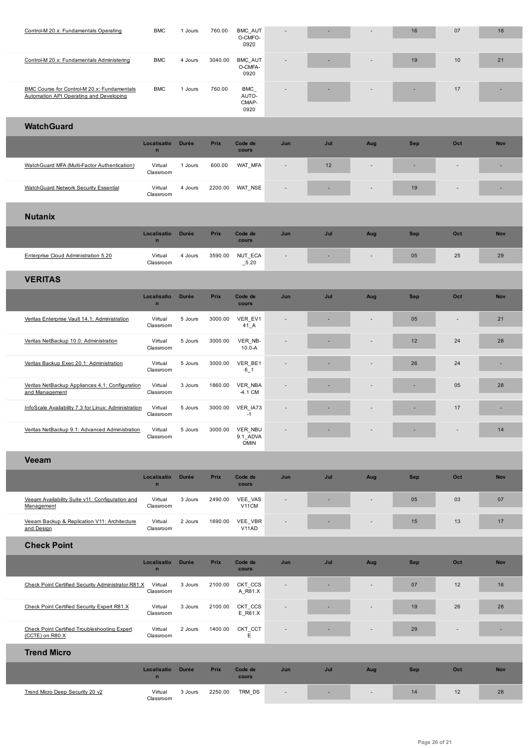|                                                                                               |                             |              |             | <b>UASO</b>                          |                          |     |                          |            |                          |            |
|-----------------------------------------------------------------------------------------------|-----------------------------|--------------|-------------|--------------------------------------|--------------------------|-----|--------------------------|------------|--------------------------|------------|
| Control-M 20.x: Fundamentals Administering                                                    | <b>BMC</b>                  | 4 Jours      | 3040.00     | <b>BMC AUT</b><br>O-CMFA-<br>0920    |                          |     |                          | 19         | 10                       | 21         |
| <b>BMC Course for Control-M 20.x: Fundamentals</b><br>Automation API Operating and Developing | <b>BMC</b>                  | 1 Jours      | 760.00      | <b>BMC</b><br>AUTO-<br>CMAP-<br>0920 |                          |     |                          |            | 17                       |            |
| <b>WatchGuard</b>                                                                             |                             |              |             |                                      |                          |     |                          |            |                          |            |
|                                                                                               | Localisatio<br>$\mathbf n$  | <b>Durée</b> | <b>Prix</b> | Code de<br>cours                     | Jun                      | Jul | Aug                      | Sep        | Oct                      | <b>Nov</b> |
| WatchGuard MFA (Multi-Factor Authentication)                                                  | Virtual<br>Classroom        | 1 Jours      | 600.00      | WAT_MFA                              |                          | 12  | ÷                        | ٠          |                          | ٠          |
| <b>WatchGuard Network Security Essential</b>                                                  | Virtual<br>Classroom        | 4 Jours      | 2200.00     | WAT_NSE                              |                          |     |                          | 19         |                          | ٠          |
| <b>Nutanix</b>                                                                                |                             |              |             |                                      |                          |     |                          |            |                          |            |
|                                                                                               | Localisatio<br>$\mathbf n$  | <b>Durée</b> | <b>Prix</b> | Code de<br>cours                     | Jun                      | Jul | Aug                      | <b>Sep</b> | Oct                      | <b>Nov</b> |
| Enterprise Cloud Administration 5.20                                                          | Virtual<br>Classroom        | 4 Jours      | 3590.00     | NUT ECA<br>$\_5.20$                  |                          | ٠   |                          | 05         | 25                       | 29         |
| <b>VERITAS</b>                                                                                |                             |              |             |                                      |                          |     |                          |            |                          |            |
|                                                                                               | Localisatio<br>$\mathsf{n}$ | <b>Durée</b> | <b>Prix</b> | Code de<br>cours                     | Jun                      | Jul | Aug                      | Sep        | Oct                      | <b>Nov</b> |
| Veritas Enterprise Vault 14.1: Administration                                                 | Virtual<br>Classroom        | 5 Jours      | 3000.00     | VER EV1<br>$41_A$                    |                          |     |                          | 05         | $\overline{\phantom{a}}$ | 21         |
| Veritas NetBackup 10.0: Administration                                                        | Virtual<br>Classroom        | 5 Jours      | 3000.00     | VER NB-<br>$10.0 - A$                |                          |     |                          | 12         | 24                       | 28         |
| Veritas Backup Exec 20.1: Administration                                                      | Virtual<br>Classroom        | 5 Jours      | 3000.00     | VER_BE1<br>$6 - 1$                   |                          |     |                          | 26         | 24                       | ٠          |
| Veritas NetBackup Appliances 4.1: Configuration<br>and Management                             | Virtual<br>Classroom        | 3 Jours      | 1860.00     | VER_NBA<br>-4.1 CM                   |                          |     |                          | ×,         | 05                       | 28         |
| InfoScale Availability 7.3 for Linux: Administration                                          | Virtual<br>Classroom        | 5 Jours      | 3000.00     | VER_IA73<br>$-1$                     |                          |     |                          |            | 17                       | ٠          |
| Veritas NetBackup 9.1: Advanced Administration                                                | Virtual<br>Classroom        | 5 Jours      | 3000.00     | VER_NBU<br>9.1 ADVA<br><b>DMIN</b>   |                          |     |                          |            |                          | 14         |
| <b>Veeam</b>                                                                                  |                             |              |             |                                      |                          |     |                          |            |                          |            |
|                                                                                               | Localisatio<br>$\mathbf n$  | <b>Durée</b> | <b>Prix</b> | Code de<br>cours                     | Jun                      | Jul | Aug                      | Sep        | Oct                      | Nov        |
| Veeam Availability Suite v11: Configuration and<br>Management                                 | Virtual<br>Classroom        | 3 Jours      | 2490.00     | VEE_VAS<br>V11CM                     |                          | ٠   | $\overline{\phantom{a}}$ | 05         | 03                       | 07         |
| Veeam Backup & Replication V11: Architecture<br>and Design                                    | Virtual<br>Classroom        | 2 Jours      | 1690.00     | VEE VBR<br>V11AD                     |                          |     |                          | 15         | 13                       | 17         |
| <b>Check Point</b>                                                                            |                             |              |             |                                      |                          |     |                          |            |                          |            |
|                                                                                               | Localisatio<br>$\mathbf n$  | <b>Durée</b> | <b>Prix</b> | Code de<br>cours                     | Jun                      | Jul | Aug                      | Sep        | Oct                      | <b>Nov</b> |
| Check Point Certified Security Administrator R81.X                                            | Virtual<br>Classroom        | 3 Jours      | 2100.00     | CKT_CCS<br>A_R81.X                   |                          | ٠   | ÷                        | 07         | 12                       | 16         |
| Check Point Certified Security Expert R81.X                                                   | Virtual<br>Classroom        | 3 Jours      | 2100.00     | CKT_CCS<br>E_R81.X                   |                          |     |                          | 19         | 26                       | 28         |
| Check Point Certified Troubleshooting Expert<br>(CCTE) on R80.X                               | Virtual<br>Classroom        | 2 Jours      | 1400.00     | $\frac{\text{CKT\_CCT}}{\text{E}}$   |                          |     |                          | 29         |                          | ٠          |
| <b>Trend Micro</b>                                                                            |                             |              |             |                                      |                          |     |                          |            |                          |            |
|                                                                                               | Localisatio<br>$\mathsf{n}$ | <b>Durée</b> | <b>Prix</b> | Code de<br>cours                     | Jun                      | Jul | Aug                      | Sep        | Oct                      | <b>Nov</b> |
| Trend Micro Deep Security 20 v2                                                               | Virtual<br>Classroom        | 3 Jours      | 2250.00     | TRM_DS                               | $\overline{\phantom{a}}$ | ٠   | ÷                        | 14         | 12                       | 28         |
|                                                                                               |                             |              |             |                                      |                          |     |                          |            |                          |            |

Ì

I

I

Γ

Г